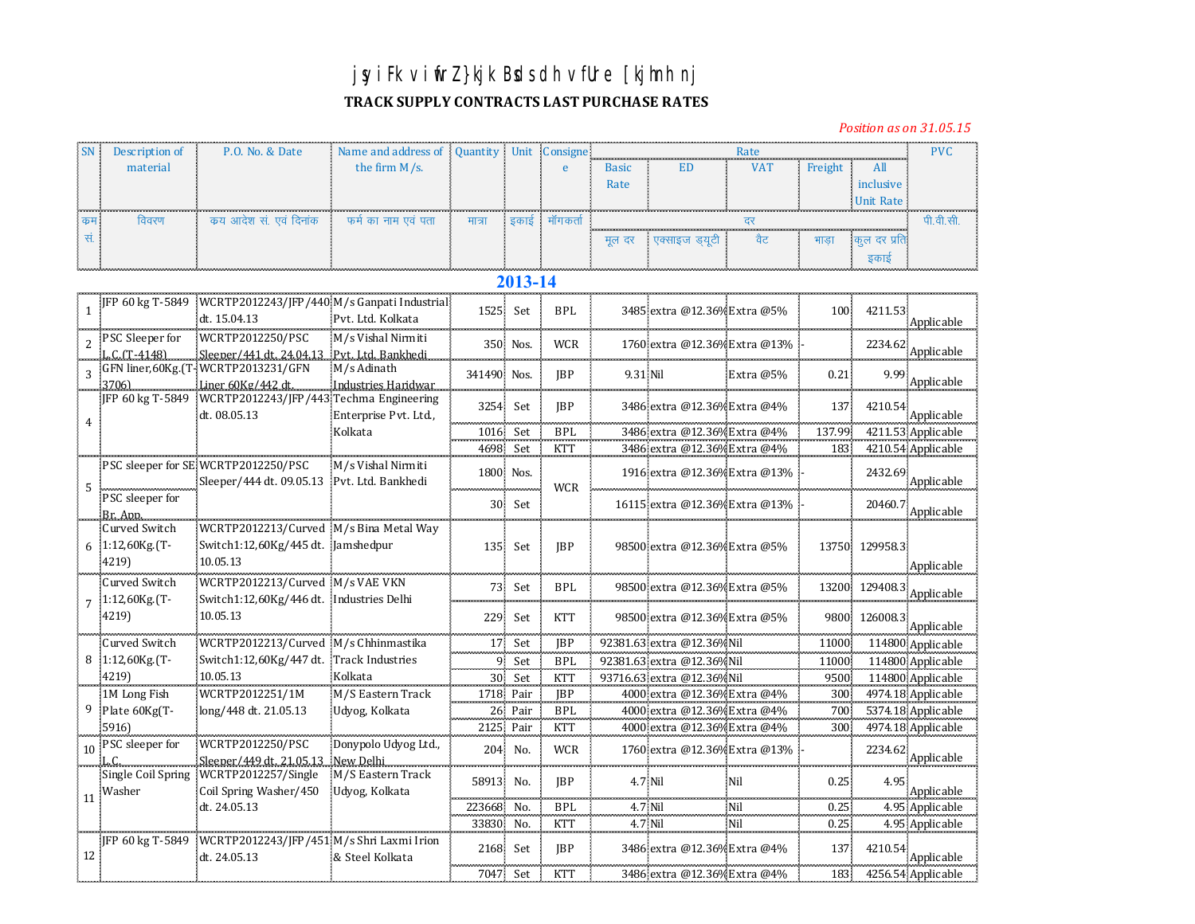## **jsyiFk viwfrZ }kjk Bsds dh vfUre [kjhnh nj**

## **TRACK SUPPLY CONTRACTS LAST PURCHASE RATES**

*Position as on 31.05.15*

|    | Description of | P.O. No. & Date        | Name and address of Quantity   Unit   Consigne |        |  |          |              |                      |     |     |           |  |  |
|----|----------------|------------------------|------------------------------------------------|--------|--|----------|--------------|----------------------|-----|-----|-----------|--|--|
|    | material       |                        | the firm $M/s$ .                               |        |  |          | <b>Basic</b> |                      | VA' |     | All       |  |  |
|    |                |                        |                                                |        |  |          | Rate         |                      |     |     | inclusive |  |  |
|    |                |                        |                                                |        |  |          |              |                      |     |     | Unit Rate |  |  |
| कम | विवरण          | कय आदेश सं. एवं दिनांक | फर्म का नाम एवं पता<br>in the con-             | मात्रा |  | मागकर्ता |              |                      |     |     |           |  |  |
|    |                |                        |                                                |        |  |          |              | मल दर - एक्साइज डयटी | वैट | भाड |           |  |  |
|    |                |                        |                                                |        |  |          |              |                      |     |     |           |  |  |

## **2013-14**

|                 |                                            | [IFP 60 kg T-5849 WCRTP2012243/IFP/440 M/s Ganpati Industrial]<br>dt. 15.04.13           | Pvt. Ltd. Kolkata                         | 1525 Set             |           | <b>BPL</b>         |          | 3485 extra @12.36% Extra @5%                                 |           | 100            | 4211.53        | Applicable                               |
|-----------------|--------------------------------------------|------------------------------------------------------------------------------------------|-------------------------------------------|----------------------|-----------|--------------------|----------|--------------------------------------------------------------|-----------|----------------|----------------|------------------------------------------|
|                 | 2 PSC Sleeper for<br>L.C.(T-4148)          | WCRTP2012250/PSC<br>Sleeper/441 dt. 24,04.13                                             | M/s Vishal Nirmiti<br>Pyt. Ltd. Bankhedi. |                      | 350 Nos.  | <b>WCR</b>         |          | 1760 extra @12.36% Extra @13%                                |           |                |                | $2234.62^\circ$ Applicable               |
|                 | 3706)                                      | GFN liner, 60Kg. (T - WCRTP 2013231/GFN<br>Liner 60Kg/442 dt.                            | M/s Adinath<br>Industries Haridwar        | 341490 Nos.          |           | <b>IBP</b>         | 9.31 Nil |                                                              | Extra @5% | 0.21           | 9.99           | Applicable                               |
|                 |                                            | JFP 60 kg T-5849 WCRTP2012243/JFP/443 Techma Engineering<br>dt. 08.05.13                 | Enterprise Pvt. Ltd.,                     | 3254 Set             |           | <b>IBP</b>         |          | 3486 extra @12.36% Extra @4%                                 |           | 137            | 4210.54        | Applicable                               |
|                 |                                            |                                                                                          | Kolkata                                   | 1016 Set<br>4698 Set |           | BPI.<br><b>KTT</b> |          | 3486 extra @12.36% Extra @4%<br>3486 extra @12.36% Extra @4% |           | 137.99<br>183. |                | 4211.53 Applicable<br>4210.54 Applicable |
|                 |                                            | PSC sleeper for SE WCRTP2012250/PSC<br>Sleeper/444 dt. 09.05.13 Pvt. Ltd. Bankhedi       | M/s Vishal Nirmiti                        | 1800 Nos.            |           | <b>WCR</b>         |          | 1916 extra @12.36% Extra @13%                                |           |                | 2432.69        | Applicable                               |
|                 | PSC sleeper for<br>Br. App.                |                                                                                          |                                           |                      | 30 Set    |                    |          | 16115 extra @12.36% Extra @13%                               |           |                | 20460.7        | Applicable                               |
|                 | Curved Switch<br>6 1:12,60Kg. (T-<br>4219) | WCRTP2012213/Curved M/s Bina Metal Way<br>Switch1:12,60Kg/445 dt. Jamshedpur<br>10.05.13 |                                           |                      | 135 Set   | <b>IBP</b>         |          | 98500 extra @12.36% Extra @5%                                |           |                | 13750 129958.3 | Applicable                               |
|                 | Curved Switch<br>$1:12,60$ Kg.(T-          | WCRTP2012213/Curved M/s VAE VKN<br>Switch1:12,60Kg/446 dt. Industries Delhi              |                                           | 73                   | Set       | <b>BPL</b>         |          | 98500 extra @12.36% Extra @5%                                |           |                |                | 13200 129408.3 Applicable                |
|                 | 4219)                                      | 10.05.13                                                                                 |                                           | 229                  | Set       | <b>KTT</b>         |          | 98500 extra @12.36% Extra @5%                                |           | 9800.          | 126008.3       | Applicable                               |
|                 | Curved Switch                              | WCRTP2012213/Curved M/s Chhinmastika                                                     |                                           | 17                   | Set       | <b>JBP</b>         |          | 92381.63 extra @12.36% Nil                                   |           | 11000          |                | 114800 Applicable                        |
|                 | 8 1:12,60Kg. (T-                           | Switch1:12,60Kg/447 dt.                                                                  | Track Industries                          |                      | 9 Set     | <b>BPL</b>         |          | 92381.63 extra @12.36% Nil                                   |           | 11000          |                | 114800 Applicable                        |
|                 | 4219)                                      | 10.05.13                                                                                 | Kolkata                                   |                      | 30 Set    | <b>KTT</b>         |          | 93716.63 extra @12.36%Nil                                    |           | 9500           |                | 114800 Applicable                        |
|                 | 1M Long Fish                               | WCRTP2012251/1M                                                                          | M/S Eastern Track                         | 1718 Pair            |           | <b>IBP</b>         |          | 4000 extra @12.36% Extra @4%                                 |           | 300            |                | 4974.18 Applicable                       |
|                 | Plate 60Kg(T-                              | long/448 dt. 21.05.13                                                                    | Udyog, Kolkata                            |                      | 26 Pair   | <b>BPL</b>         |          | 4000 extra @12.36% Extra @4%                                 |           | 700            |                | 5374.18 Applicable                       |
|                 | 5916                                       |                                                                                          |                                           |                      | 2125 Pair | <b>KTT</b>         |          | 4000 extra @12.36% Extra @4%                                 |           | 300            |                | 4974.18 Applicable                       |
|                 | 10 PSC sleeper for                         | WCRTP2012250/PSC<br>Sleeper/449 dt. 21.05.13                                             | Donypolo Udyog Ltd.,<br>New Delhi         |                      | 204 No.   | <b>WCR</b>         |          | 1760 extra @12.36% Extra @13%                                |           |                | 2234.62        | Applicable                               |
| 11              | Washer                                     | Single Coil Spring WCRTP2012257/Single<br>Coil Spring Washer/450                         | M/S Eastern Track<br>Udyog, Kolkata       | 58913 No.            |           | <b>IBP</b>         | 4.7 Nil  |                                                              | Nil       | 0.25           | 4.95           | Applicable                               |
|                 |                                            | dt. 24.05.13                                                                             |                                           | 223668 No.           |           | <b>BPL</b>         | 4.7 Nil  |                                                              | Nil       | 0.25           |                | 4.95 Applicable                          |
|                 |                                            |                                                                                          |                                           | 33830 No.            |           | <b>KTT</b>         | 4.7 Nil  |                                                              | Nil       | 0.25           |                | 4.95 Applicable                          |
| 12 <sup>2</sup> |                                            | JFP 60 kg T-5849 WCRTP2012243/JFP/451 M/s Shri Laxmi Irion<br>dt. 24.05.13               | & Steel Kolkata                           | 2168 Set             |           | <b>IBP</b>         |          | 3486 extra @12.36% Extra @4%                                 |           | 137            |                | 4210.54 <sup>2</sup><br>Applicable       |
|                 |                                            |                                                                                          |                                           | 7047 Set             |           | <b>KTT</b>         |          | 3486 extra @12.36% Extra @4%                                 |           | 183.           |                | 4256.54 Applicable                       |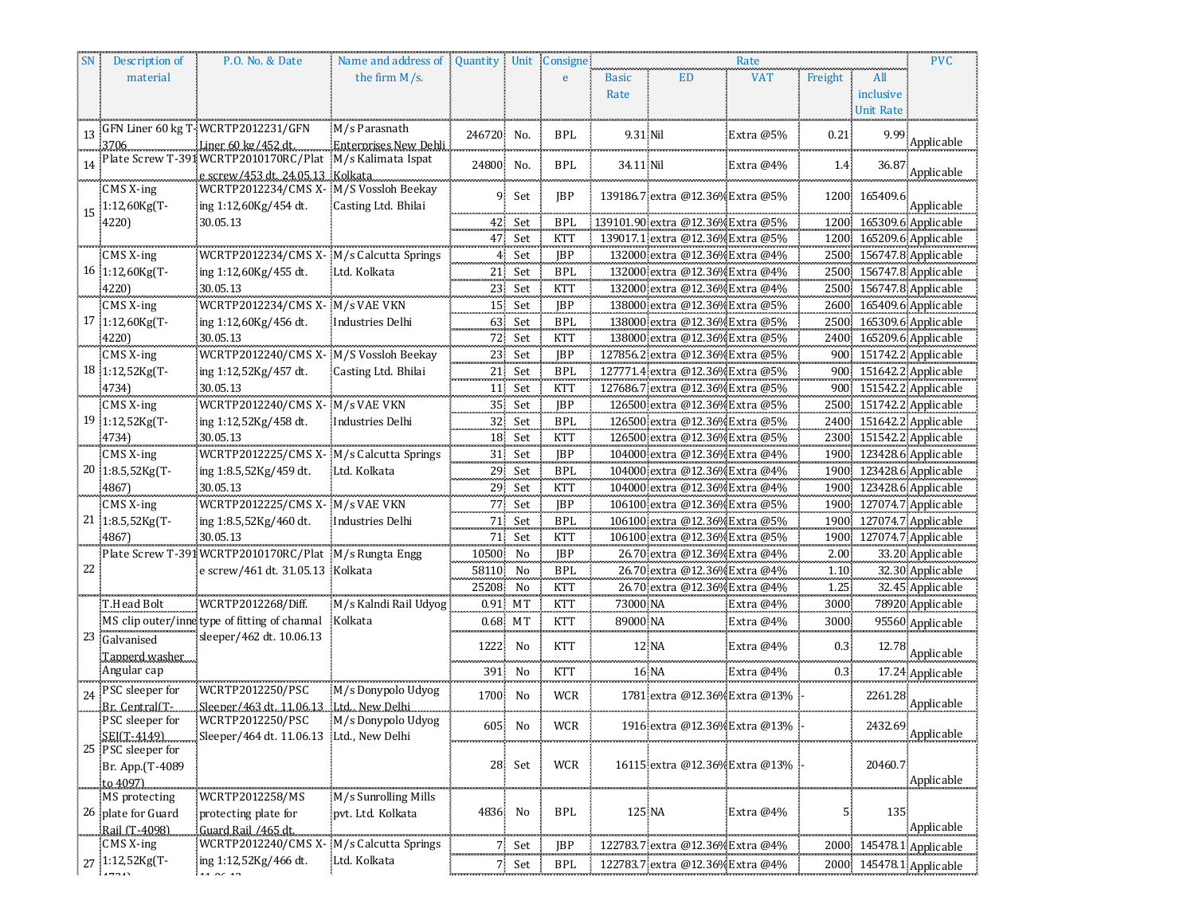| the firm $M/s$ .<br><b>ED</b><br>material<br><b>VAT</b><br>Freight<br>All<br><b>Basic</b><br>e<br>Rate<br>inclusive<br>Unit Rate<br>GFN Liner 60 kg T-WCRTP2012231/GFN<br>M/s Parasnath<br>13<br>246720 No.<br><b>BPL</b><br>9.31 Nil<br>0.21<br>Extra @5%<br>9.99<br>Applicable<br>3706<br>Plate Screw T-391WCRTP2010170RC/Plat M/s Kalimata Ispat<br>24800 No.<br><b>BPL</b><br>34.11 Nil<br>Extra @4%<br>1.4 <sub>1</sub><br>36.87<br>Applicable<br>e screw/453 dt. 24.05.13<br>Kolkata<br>$CMS X-ing$<br>WCRTP2012234/CMS X- M/S Vossloh Beekay<br>91<br>JBP<br>Set<br>139186.7 extra @12.36% Extra @5%<br>1200 165409.6<br>1:12,60Kg(T-<br>ing 1:12,60Kg/454 dt.<br>Casting Ltd. Bhilai<br>Applicable<br>15<br>139101.90 extra @12.36% Extra @5%<br>1200 165309.6 Applicable<br>4220)<br>30.05.13<br><b>BPL</b><br>42.<br>Set<br>139017.1 extra @12.36% Extra @5%<br>1200 165209.6 Applicable<br>47.<br>Set<br>KTT<br>132000 extra @12.36% Extra @4%<br>2500 156747.8 Applicable<br>WCRTP2012234/CMS X- M/s Calcutta Springs<br>4 Set<br>JBP<br>$CMS X-ing$<br>16 1:12,60Kg(T-<br>132000 extra @12.36% Extra @4%<br>2500 156747.8 Applicable<br>ing 1:12,60Kg/455 dt.<br>Ltd. Kolkata<br><b>BPL</b><br>$21\,$ Set<br>4220)<br>30.05.13<br>132000 extra @12.36% Extra @4%<br>2500 156747.8 Applicable<br>23 Set<br>KTT<br>WCRTP2012234/CMS X- M/s VAE VKN<br>138000 extra @12.36% Extra @5%<br>2600 165409.6 Applicable<br>CMS X-ing<br>JBP<br>15 Set<br>17 1:12,60Kg(T-<br>138000 extra @12.36% Extra @5%<br>2500 165309.6 Applicable<br>ing 1:12,60Kg/456 dt.<br>63 Set<br><b>BPL</b><br>Industries Delhi<br>30.05.13<br>4220)<br>Set<br>KTT<br>138000 extra @12.36% Extra @5%<br>2400 165209.6 Applicable<br>72.<br>127856.2 extra @12.36% Extra @5%<br>900 151742.2 Applicable<br>WCRTP2012240/CMS X- M/S Vossloh Beekay<br><b>IBP</b><br>CMS X-ing<br>23 Set<br>18 1:12,52Kg(T-<br>ing 1:12,52Kg/457 dt.<br>Casting Ltd. Bhilai<br>$\ensuremath{\mathsf{BPL}}$<br>127771.4 extra @12.36% Extra @5%<br>900 151642.2 Applicable<br>$21$ Set<br>4734)<br>30.05.13<br>127686.7 extra @12.36% Extra @5%<br>900 151542.2 Applicable<br>11 Set<br>KTT<br>WCRTP2012240/CMS X- M/s VAE VKN<br>126500 extra @12.36% Extra @5%<br>CMS X-ing<br>35 Set<br>JBP<br>2500 151742.2 Applicable<br>2400 151642.2 Applicable<br>19 1:12,52Kg(T-<br>126500 extra @12.36% Extra @5%<br>ing 1:12,52Kg/458 dt.<br>Industries Delhi<br>32 Set<br><b>BPL</b><br>126500 extra @12.36% Extra @5%<br>2300 151542.2 Applicable<br>4734)<br>30.05.13<br>18 Set<br><b>KTT</b><br>104000 extra @12.36% Extra @4%<br>1900 123428.6 Applicable<br>WCRTP2012225/CMS X- M/s Calcutta Springs<br>31 Set<br>JBP<br>$CMS X-ing$<br>20 1:8.5,52Kg(T-<br>ing 1:8.5,52Kg/459 dt.<br>Ltd. Kolkata<br>104000 extra @12.36% Extra @4%<br>1900 123428.6 Applicable<br>29 Set<br><b>BPL</b><br>30.05.13<br>29 Set<br>104000 extra @12.36% Extra @4%<br>1900: 123428.6 Applicable<br>4867)<br>KTT<br>106100 extra @12.36% Extra @5%<br>1900 127074.7 Applicable<br>$CMS X-ing$<br>WCRTP2012225/CMS X- M/s VAE VKN<br>77 Set<br>JBP<br>21 1:8.5,52Kg(T-<br>106100 extra @12.36% Extra @5%<br>ing 1:8.5,52Kg/460 dt.<br>71 Set<br><b>BPL</b><br>1900 127074.7 Applicable<br>Industries Delhi<br>30.05.13<br>4867)<br>Set<br>KTT<br>106100 extra @12.36% Extra @5%<br>71.<br>1900 127074.7 Applicable<br>Plate Screw T-391WCRTP2010170RC/Plat M/s Rungta Engg<br>10500 No<br><b>JBP</b><br>26.70 extra @12.36% Extra @4%<br>33.20 Applicable<br>2.00 <sub>1</sub><br>22<br>e screw/461 dt. 31.05.13 Kolkata<br><b>BPL</b><br>26.70 extra @12.36% Extra @4%<br>32.30 Applicable<br>58110 No<br>$1.10\,$<br>25208 No<br>26.70 extra @12.36% Extra @4%<br>1.25<br>32.45 Applicable<br>KTT<br>WCRTP2012268/Diff.<br>73000 NA<br>78920 Applicable<br>T.Head Bolt<br>M/s Kalndi Rail Udyog<br>0.91 MT<br>KTT<br>3000<br>Extra @4%<br>MS clip outer/innetype of fitting of channal<br>Kolkata<br>89000 NA<br>0.68 MT<br>3000<br>95560 Applicable<br>KTT<br>Extra @4%<br>sleeper/462 dt. 10.06.13<br>Galvanised<br>12 NA<br>1222<br><b>KTT</b><br>0.3 <sub>1</sub><br>No<br>Extra @4%<br>12.78<br>Applicable<br>Tapperd washer<br>Angular cap<br><b>KTT</b><br><b>16 NA</b><br>391 No<br>Extra @4%<br>0.3 <sup>°</sup><br>17.24 Applicable<br>PSC sleeper for<br>WCRTP2012250/PSC<br>M/s Donypolo Udyog<br>24<br>1700<br>1781 extra @12.36% Extra @13%<br>No<br>WCR<br>2261.28<br>Applicable<br>Br. Central(T-<br>Sleeper/463 dt. 11.06.13 . Ltd New Delhi<br>M/s Donypolo Udyog<br>PSC sleeper for<br>WCRTP2012250/PSC<br>605<br>2432.69<br>No<br><b>WCR</b><br>1916 extra @12.36% Extra @13%<br>Applicable<br>SEI(T-4149)<br>Sleeper/464 dt. 11.06.13 Ltd., New Delhi<br>25 PSC sleeper for<br>28 Set<br>WCR<br>16115 extra @12.36% Extra @13%<br>20460.7<br>Br. App.(T-4089<br>Applicable<br>to 4097)<br>MS protecting<br>WCRTP2012258/MS<br>M/s Sunrolling Mills<br><b>BPL</b><br>125 NA<br>5.<br>135<br>4836 No<br>Extra @4%<br>26 plate for Guard<br>protecting plate for<br>pvt. Ltd. Kolkata<br>Applicable<br>Rail (T-4098)<br>Guard Rail /465 dt.<br>WCRTP2012240/CMS X- M/s Calcutta Springs<br>CMS X-ing<br><b>JBP</b><br>122783.7 extra @12.36% Extra @4%<br>7 Set<br>2000 145478.1 Applicable<br>27 1:12,52Kg(T-<br>ing 1:12,52Kg/466 dt.<br>Ltd. Kolkata<br>7 Set<br>2000 145478.1 Applicable<br>122783.7 extra @12.36% Extra @4% | Description of | P.O. No. & Date | Name and address of | Quantity Unit | Consigne   |  | Rate |  |  | <b>PVC</b> |
|-----------------------------------------------------------------------------------------------------------------------------------------------------------------------------------------------------------------------------------------------------------------------------------------------------------------------------------------------------------------------------------------------------------------------------------------------------------------------------------------------------------------------------------------------------------------------------------------------------------------------------------------------------------------------------------------------------------------------------------------------------------------------------------------------------------------------------------------------------------------------------------------------------------------------------------------------------------------------------------------------------------------------------------------------------------------------------------------------------------------------------------------------------------------------------------------------------------------------------------------------------------------------------------------------------------------------------------------------------------------------------------------------------------------------------------------------------------------------------------------------------------------------------------------------------------------------------------------------------------------------------------------------------------------------------------------------------------------------------------------------------------------------------------------------------------------------------------------------------------------------------------------------------------------------------------------------------------------------------------------------------------------------------------------------------------------------------------------------------------------------------------------------------------------------------------------------------------------------------------------------------------------------------------------------------------------------------------------------------------------------------------------------------------------------------------------------------------------------------------------------------------------------------------------------------------------------------------------------------------------------------------------------------------------------------------------------------------------------------------------------------------------------------------------------------------------------------------------------------------------------------------------------------------------------------------------------------------------------------------------------------------------------------------------------------------------------------------------------------------------------------------------------------------------------------------------------------------------------------------------------------------------------------------------------------------------------------------------------------------------------------------------------------------------------------------------------------------------------------------------------------------------------------------------------------------------------------------------------------------------------------------------------------------------------------------------------------------------------------------------------------------------------------------------------------------------------------------------------------------------------------------------------------------------------------------------------------------------------------------------------------------------------------------------------------------------------------------------------------------------------------------------------------------------------------------------------------------------------------------------------------------------------------------------------------------------------------------------------------------------------------------------------------------------------------------------------------------------------------------------------------------------------------------------------------------------------------------------------------------------------------------------------------------------------------------------------------------------------------------------------------------------------------------------------------------------------------------------------------------------------------------------------------------------------------------------------------------------------------------------------------------------------------------------------------------------------------------------------------------------------------------------------------------------------------------------------------------------------------------------------------------------------------------------------------------------------------------------------------------------------------------------------|----------------|-----------------|---------------------|---------------|------------|--|------|--|--|------------|
|                                                                                                                                                                                                                                                                                                                                                                                                                                                                                                                                                                                                                                                                                                                                                                                                                                                                                                                                                                                                                                                                                                                                                                                                                                                                                                                                                                                                                                                                                                                                                                                                                                                                                                                                                                                                                                                                                                                                                                                                                                                                                                                                                                                                                                                                                                                                                                                                                                                                                                                                                                                                                                                                                                                                                                                                                                                                                                                                                                                                                                                                                                                                                                                                                                                                                                                                                                                                                                                                                                                                                                                                                                                                                                                                                                                                                                                                                                                                                                                                                                                                                                                                                                                                                                                                                                                                                                                                                                                                                                                                                                                                                                                                                                                                                                                                                                                                                                                                                                                                                                                                                                                                                                                                                                                                                                                                                                                               |                |                 |                     |               |            |  |      |  |  |            |
|                                                                                                                                                                                                                                                                                                                                                                                                                                                                                                                                                                                                                                                                                                                                                                                                                                                                                                                                                                                                                                                                                                                                                                                                                                                                                                                                                                                                                                                                                                                                                                                                                                                                                                                                                                                                                                                                                                                                                                                                                                                                                                                                                                                                                                                                                                                                                                                                                                                                                                                                                                                                                                                                                                                                                                                                                                                                                                                                                                                                                                                                                                                                                                                                                                                                                                                                                                                                                                                                                                                                                                                                                                                                                                                                                                                                                                                                                                                                                                                                                                                                                                                                                                                                                                                                                                                                                                                                                                                                                                                                                                                                                                                                                                                                                                                                                                                                                                                                                                                                                                                                                                                                                                                                                                                                                                                                                                                               |                |                 |                     |               |            |  |      |  |  |            |
|                                                                                                                                                                                                                                                                                                                                                                                                                                                                                                                                                                                                                                                                                                                                                                                                                                                                                                                                                                                                                                                                                                                                                                                                                                                                                                                                                                                                                                                                                                                                                                                                                                                                                                                                                                                                                                                                                                                                                                                                                                                                                                                                                                                                                                                                                                                                                                                                                                                                                                                                                                                                                                                                                                                                                                                                                                                                                                                                                                                                                                                                                                                                                                                                                                                                                                                                                                                                                                                                                                                                                                                                                                                                                                                                                                                                                                                                                                                                                                                                                                                                                                                                                                                                                                                                                                                                                                                                                                                                                                                                                                                                                                                                                                                                                                                                                                                                                                                                                                                                                                                                                                                                                                                                                                                                                                                                                                                               |                |                 |                     |               |            |  |      |  |  |            |
|                                                                                                                                                                                                                                                                                                                                                                                                                                                                                                                                                                                                                                                                                                                                                                                                                                                                                                                                                                                                                                                                                                                                                                                                                                                                                                                                                                                                                                                                                                                                                                                                                                                                                                                                                                                                                                                                                                                                                                                                                                                                                                                                                                                                                                                                                                                                                                                                                                                                                                                                                                                                                                                                                                                                                                                                                                                                                                                                                                                                                                                                                                                                                                                                                                                                                                                                                                                                                                                                                                                                                                                                                                                                                                                                                                                                                                                                                                                                                                                                                                                                                                                                                                                                                                                                                                                                                                                                                                                                                                                                                                                                                                                                                                                                                                                                                                                                                                                                                                                                                                                                                                                                                                                                                                                                                                                                                                                               |                |                 |                     |               |            |  |      |  |  |            |
|                                                                                                                                                                                                                                                                                                                                                                                                                                                                                                                                                                                                                                                                                                                                                                                                                                                                                                                                                                                                                                                                                                                                                                                                                                                                                                                                                                                                                                                                                                                                                                                                                                                                                                                                                                                                                                                                                                                                                                                                                                                                                                                                                                                                                                                                                                                                                                                                                                                                                                                                                                                                                                                                                                                                                                                                                                                                                                                                                                                                                                                                                                                                                                                                                                                                                                                                                                                                                                                                                                                                                                                                                                                                                                                                                                                                                                                                                                                                                                                                                                                                                                                                                                                                                                                                                                                                                                                                                                                                                                                                                                                                                                                                                                                                                                                                                                                                                                                                                                                                                                                                                                                                                                                                                                                                                                                                                                                               |                |                 |                     |               |            |  |      |  |  |            |
|                                                                                                                                                                                                                                                                                                                                                                                                                                                                                                                                                                                                                                                                                                                                                                                                                                                                                                                                                                                                                                                                                                                                                                                                                                                                                                                                                                                                                                                                                                                                                                                                                                                                                                                                                                                                                                                                                                                                                                                                                                                                                                                                                                                                                                                                                                                                                                                                                                                                                                                                                                                                                                                                                                                                                                                                                                                                                                                                                                                                                                                                                                                                                                                                                                                                                                                                                                                                                                                                                                                                                                                                                                                                                                                                                                                                                                                                                                                                                                                                                                                                                                                                                                                                                                                                                                                                                                                                                                                                                                                                                                                                                                                                                                                                                                                                                                                                                                                                                                                                                                                                                                                                                                                                                                                                                                                                                                                               |                |                 |                     |               |            |  |      |  |  |            |
|                                                                                                                                                                                                                                                                                                                                                                                                                                                                                                                                                                                                                                                                                                                                                                                                                                                                                                                                                                                                                                                                                                                                                                                                                                                                                                                                                                                                                                                                                                                                                                                                                                                                                                                                                                                                                                                                                                                                                                                                                                                                                                                                                                                                                                                                                                                                                                                                                                                                                                                                                                                                                                                                                                                                                                                                                                                                                                                                                                                                                                                                                                                                                                                                                                                                                                                                                                                                                                                                                                                                                                                                                                                                                                                                                                                                                                                                                                                                                                                                                                                                                                                                                                                                                                                                                                                                                                                                                                                                                                                                                                                                                                                                                                                                                                                                                                                                                                                                                                                                                                                                                                                                                                                                                                                                                                                                                                                               |                |                 |                     |               |            |  |      |  |  |            |
|                                                                                                                                                                                                                                                                                                                                                                                                                                                                                                                                                                                                                                                                                                                                                                                                                                                                                                                                                                                                                                                                                                                                                                                                                                                                                                                                                                                                                                                                                                                                                                                                                                                                                                                                                                                                                                                                                                                                                                                                                                                                                                                                                                                                                                                                                                                                                                                                                                                                                                                                                                                                                                                                                                                                                                                                                                                                                                                                                                                                                                                                                                                                                                                                                                                                                                                                                                                                                                                                                                                                                                                                                                                                                                                                                                                                                                                                                                                                                                                                                                                                                                                                                                                                                                                                                                                                                                                                                                                                                                                                                                                                                                                                                                                                                                                                                                                                                                                                                                                                                                                                                                                                                                                                                                                                                                                                                                                               |                |                 |                     |               |            |  |      |  |  |            |
|                                                                                                                                                                                                                                                                                                                                                                                                                                                                                                                                                                                                                                                                                                                                                                                                                                                                                                                                                                                                                                                                                                                                                                                                                                                                                                                                                                                                                                                                                                                                                                                                                                                                                                                                                                                                                                                                                                                                                                                                                                                                                                                                                                                                                                                                                                                                                                                                                                                                                                                                                                                                                                                                                                                                                                                                                                                                                                                                                                                                                                                                                                                                                                                                                                                                                                                                                                                                                                                                                                                                                                                                                                                                                                                                                                                                                                                                                                                                                                                                                                                                                                                                                                                                                                                                                                                                                                                                                                                                                                                                                                                                                                                                                                                                                                                                                                                                                                                                                                                                                                                                                                                                                                                                                                                                                                                                                                                               |                |                 |                     |               |            |  |      |  |  |            |
|                                                                                                                                                                                                                                                                                                                                                                                                                                                                                                                                                                                                                                                                                                                                                                                                                                                                                                                                                                                                                                                                                                                                                                                                                                                                                                                                                                                                                                                                                                                                                                                                                                                                                                                                                                                                                                                                                                                                                                                                                                                                                                                                                                                                                                                                                                                                                                                                                                                                                                                                                                                                                                                                                                                                                                                                                                                                                                                                                                                                                                                                                                                                                                                                                                                                                                                                                                                                                                                                                                                                                                                                                                                                                                                                                                                                                                                                                                                                                                                                                                                                                                                                                                                                                                                                                                                                                                                                                                                                                                                                                                                                                                                                                                                                                                                                                                                                                                                                                                                                                                                                                                                                                                                                                                                                                                                                                                                               |                |                 |                     |               |            |  |      |  |  |            |
|                                                                                                                                                                                                                                                                                                                                                                                                                                                                                                                                                                                                                                                                                                                                                                                                                                                                                                                                                                                                                                                                                                                                                                                                                                                                                                                                                                                                                                                                                                                                                                                                                                                                                                                                                                                                                                                                                                                                                                                                                                                                                                                                                                                                                                                                                                                                                                                                                                                                                                                                                                                                                                                                                                                                                                                                                                                                                                                                                                                                                                                                                                                                                                                                                                                                                                                                                                                                                                                                                                                                                                                                                                                                                                                                                                                                                                                                                                                                                                                                                                                                                                                                                                                                                                                                                                                                                                                                                                                                                                                                                                                                                                                                                                                                                                                                                                                                                                                                                                                                                                                                                                                                                                                                                                                                                                                                                                                               |                |                 |                     |               |            |  |      |  |  |            |
|                                                                                                                                                                                                                                                                                                                                                                                                                                                                                                                                                                                                                                                                                                                                                                                                                                                                                                                                                                                                                                                                                                                                                                                                                                                                                                                                                                                                                                                                                                                                                                                                                                                                                                                                                                                                                                                                                                                                                                                                                                                                                                                                                                                                                                                                                                                                                                                                                                                                                                                                                                                                                                                                                                                                                                                                                                                                                                                                                                                                                                                                                                                                                                                                                                                                                                                                                                                                                                                                                                                                                                                                                                                                                                                                                                                                                                                                                                                                                                                                                                                                                                                                                                                                                                                                                                                                                                                                                                                                                                                                                                                                                                                                                                                                                                                                                                                                                                                                                                                                                                                                                                                                                                                                                                                                                                                                                                                               |                |                 |                     |               |            |  |      |  |  |            |
|                                                                                                                                                                                                                                                                                                                                                                                                                                                                                                                                                                                                                                                                                                                                                                                                                                                                                                                                                                                                                                                                                                                                                                                                                                                                                                                                                                                                                                                                                                                                                                                                                                                                                                                                                                                                                                                                                                                                                                                                                                                                                                                                                                                                                                                                                                                                                                                                                                                                                                                                                                                                                                                                                                                                                                                                                                                                                                                                                                                                                                                                                                                                                                                                                                                                                                                                                                                                                                                                                                                                                                                                                                                                                                                                                                                                                                                                                                                                                                                                                                                                                                                                                                                                                                                                                                                                                                                                                                                                                                                                                                                                                                                                                                                                                                                                                                                                                                                                                                                                                                                                                                                                                                                                                                                                                                                                                                                               |                |                 |                     |               |            |  |      |  |  |            |
|                                                                                                                                                                                                                                                                                                                                                                                                                                                                                                                                                                                                                                                                                                                                                                                                                                                                                                                                                                                                                                                                                                                                                                                                                                                                                                                                                                                                                                                                                                                                                                                                                                                                                                                                                                                                                                                                                                                                                                                                                                                                                                                                                                                                                                                                                                                                                                                                                                                                                                                                                                                                                                                                                                                                                                                                                                                                                                                                                                                                                                                                                                                                                                                                                                                                                                                                                                                                                                                                                                                                                                                                                                                                                                                                                                                                                                                                                                                                                                                                                                                                                                                                                                                                                                                                                                                                                                                                                                                                                                                                                                                                                                                                                                                                                                                                                                                                                                                                                                                                                                                                                                                                                                                                                                                                                                                                                                                               |                |                 |                     |               |            |  |      |  |  |            |
|                                                                                                                                                                                                                                                                                                                                                                                                                                                                                                                                                                                                                                                                                                                                                                                                                                                                                                                                                                                                                                                                                                                                                                                                                                                                                                                                                                                                                                                                                                                                                                                                                                                                                                                                                                                                                                                                                                                                                                                                                                                                                                                                                                                                                                                                                                                                                                                                                                                                                                                                                                                                                                                                                                                                                                                                                                                                                                                                                                                                                                                                                                                                                                                                                                                                                                                                                                                                                                                                                                                                                                                                                                                                                                                                                                                                                                                                                                                                                                                                                                                                                                                                                                                                                                                                                                                                                                                                                                                                                                                                                                                                                                                                                                                                                                                                                                                                                                                                                                                                                                                                                                                                                                                                                                                                                                                                                                                               |                |                 |                     |               |            |  |      |  |  |            |
|                                                                                                                                                                                                                                                                                                                                                                                                                                                                                                                                                                                                                                                                                                                                                                                                                                                                                                                                                                                                                                                                                                                                                                                                                                                                                                                                                                                                                                                                                                                                                                                                                                                                                                                                                                                                                                                                                                                                                                                                                                                                                                                                                                                                                                                                                                                                                                                                                                                                                                                                                                                                                                                                                                                                                                                                                                                                                                                                                                                                                                                                                                                                                                                                                                                                                                                                                                                                                                                                                                                                                                                                                                                                                                                                                                                                                                                                                                                                                                                                                                                                                                                                                                                                                                                                                                                                                                                                                                                                                                                                                                                                                                                                                                                                                                                                                                                                                                                                                                                                                                                                                                                                                                                                                                                                                                                                                                                               |                |                 |                     |               |            |  |      |  |  |            |
|                                                                                                                                                                                                                                                                                                                                                                                                                                                                                                                                                                                                                                                                                                                                                                                                                                                                                                                                                                                                                                                                                                                                                                                                                                                                                                                                                                                                                                                                                                                                                                                                                                                                                                                                                                                                                                                                                                                                                                                                                                                                                                                                                                                                                                                                                                                                                                                                                                                                                                                                                                                                                                                                                                                                                                                                                                                                                                                                                                                                                                                                                                                                                                                                                                                                                                                                                                                                                                                                                                                                                                                                                                                                                                                                                                                                                                                                                                                                                                                                                                                                                                                                                                                                                                                                                                                                                                                                                                                                                                                                                                                                                                                                                                                                                                                                                                                                                                                                                                                                                                                                                                                                                                                                                                                                                                                                                                                               |                |                 |                     |               |            |  |      |  |  |            |
|                                                                                                                                                                                                                                                                                                                                                                                                                                                                                                                                                                                                                                                                                                                                                                                                                                                                                                                                                                                                                                                                                                                                                                                                                                                                                                                                                                                                                                                                                                                                                                                                                                                                                                                                                                                                                                                                                                                                                                                                                                                                                                                                                                                                                                                                                                                                                                                                                                                                                                                                                                                                                                                                                                                                                                                                                                                                                                                                                                                                                                                                                                                                                                                                                                                                                                                                                                                                                                                                                                                                                                                                                                                                                                                                                                                                                                                                                                                                                                                                                                                                                                                                                                                                                                                                                                                                                                                                                                                                                                                                                                                                                                                                                                                                                                                                                                                                                                                                                                                                                                                                                                                                                                                                                                                                                                                                                                                               |                |                 |                     |               |            |  |      |  |  |            |
|                                                                                                                                                                                                                                                                                                                                                                                                                                                                                                                                                                                                                                                                                                                                                                                                                                                                                                                                                                                                                                                                                                                                                                                                                                                                                                                                                                                                                                                                                                                                                                                                                                                                                                                                                                                                                                                                                                                                                                                                                                                                                                                                                                                                                                                                                                                                                                                                                                                                                                                                                                                                                                                                                                                                                                                                                                                                                                                                                                                                                                                                                                                                                                                                                                                                                                                                                                                                                                                                                                                                                                                                                                                                                                                                                                                                                                                                                                                                                                                                                                                                                                                                                                                                                                                                                                                                                                                                                                                                                                                                                                                                                                                                                                                                                                                                                                                                                                                                                                                                                                                                                                                                                                                                                                                                                                                                                                                               |                |                 |                     |               |            |  |      |  |  |            |
|                                                                                                                                                                                                                                                                                                                                                                                                                                                                                                                                                                                                                                                                                                                                                                                                                                                                                                                                                                                                                                                                                                                                                                                                                                                                                                                                                                                                                                                                                                                                                                                                                                                                                                                                                                                                                                                                                                                                                                                                                                                                                                                                                                                                                                                                                                                                                                                                                                                                                                                                                                                                                                                                                                                                                                                                                                                                                                                                                                                                                                                                                                                                                                                                                                                                                                                                                                                                                                                                                                                                                                                                                                                                                                                                                                                                                                                                                                                                                                                                                                                                                                                                                                                                                                                                                                                                                                                                                                                                                                                                                                                                                                                                                                                                                                                                                                                                                                                                                                                                                                                                                                                                                                                                                                                                                                                                                                                               |                |                 |                     |               |            |  |      |  |  |            |
|                                                                                                                                                                                                                                                                                                                                                                                                                                                                                                                                                                                                                                                                                                                                                                                                                                                                                                                                                                                                                                                                                                                                                                                                                                                                                                                                                                                                                                                                                                                                                                                                                                                                                                                                                                                                                                                                                                                                                                                                                                                                                                                                                                                                                                                                                                                                                                                                                                                                                                                                                                                                                                                                                                                                                                                                                                                                                                                                                                                                                                                                                                                                                                                                                                                                                                                                                                                                                                                                                                                                                                                                                                                                                                                                                                                                                                                                                                                                                                                                                                                                                                                                                                                                                                                                                                                                                                                                                                                                                                                                                                                                                                                                                                                                                                                                                                                                                                                                                                                                                                                                                                                                                                                                                                                                                                                                                                                               |                |                 |                     |               |            |  |      |  |  |            |
|                                                                                                                                                                                                                                                                                                                                                                                                                                                                                                                                                                                                                                                                                                                                                                                                                                                                                                                                                                                                                                                                                                                                                                                                                                                                                                                                                                                                                                                                                                                                                                                                                                                                                                                                                                                                                                                                                                                                                                                                                                                                                                                                                                                                                                                                                                                                                                                                                                                                                                                                                                                                                                                                                                                                                                                                                                                                                                                                                                                                                                                                                                                                                                                                                                                                                                                                                                                                                                                                                                                                                                                                                                                                                                                                                                                                                                                                                                                                                                                                                                                                                                                                                                                                                                                                                                                                                                                                                                                                                                                                                                                                                                                                                                                                                                                                                                                                                                                                                                                                                                                                                                                                                                                                                                                                                                                                                                                               |                |                 |                     |               |            |  |      |  |  |            |
|                                                                                                                                                                                                                                                                                                                                                                                                                                                                                                                                                                                                                                                                                                                                                                                                                                                                                                                                                                                                                                                                                                                                                                                                                                                                                                                                                                                                                                                                                                                                                                                                                                                                                                                                                                                                                                                                                                                                                                                                                                                                                                                                                                                                                                                                                                                                                                                                                                                                                                                                                                                                                                                                                                                                                                                                                                                                                                                                                                                                                                                                                                                                                                                                                                                                                                                                                                                                                                                                                                                                                                                                                                                                                                                                                                                                                                                                                                                                                                                                                                                                                                                                                                                                                                                                                                                                                                                                                                                                                                                                                                                                                                                                                                                                                                                                                                                                                                                                                                                                                                                                                                                                                                                                                                                                                                                                                                                               |                |                 |                     |               |            |  |      |  |  |            |
|                                                                                                                                                                                                                                                                                                                                                                                                                                                                                                                                                                                                                                                                                                                                                                                                                                                                                                                                                                                                                                                                                                                                                                                                                                                                                                                                                                                                                                                                                                                                                                                                                                                                                                                                                                                                                                                                                                                                                                                                                                                                                                                                                                                                                                                                                                                                                                                                                                                                                                                                                                                                                                                                                                                                                                                                                                                                                                                                                                                                                                                                                                                                                                                                                                                                                                                                                                                                                                                                                                                                                                                                                                                                                                                                                                                                                                                                                                                                                                                                                                                                                                                                                                                                                                                                                                                                                                                                                                                                                                                                                                                                                                                                                                                                                                                                                                                                                                                                                                                                                                                                                                                                                                                                                                                                                                                                                                                               |                |                 |                     |               |            |  |      |  |  |            |
|                                                                                                                                                                                                                                                                                                                                                                                                                                                                                                                                                                                                                                                                                                                                                                                                                                                                                                                                                                                                                                                                                                                                                                                                                                                                                                                                                                                                                                                                                                                                                                                                                                                                                                                                                                                                                                                                                                                                                                                                                                                                                                                                                                                                                                                                                                                                                                                                                                                                                                                                                                                                                                                                                                                                                                                                                                                                                                                                                                                                                                                                                                                                                                                                                                                                                                                                                                                                                                                                                                                                                                                                                                                                                                                                                                                                                                                                                                                                                                                                                                                                                                                                                                                                                                                                                                                                                                                                                                                                                                                                                                                                                                                                                                                                                                                                                                                                                                                                                                                                                                                                                                                                                                                                                                                                                                                                                                                               |                |                 |                     |               |            |  |      |  |  |            |
|                                                                                                                                                                                                                                                                                                                                                                                                                                                                                                                                                                                                                                                                                                                                                                                                                                                                                                                                                                                                                                                                                                                                                                                                                                                                                                                                                                                                                                                                                                                                                                                                                                                                                                                                                                                                                                                                                                                                                                                                                                                                                                                                                                                                                                                                                                                                                                                                                                                                                                                                                                                                                                                                                                                                                                                                                                                                                                                                                                                                                                                                                                                                                                                                                                                                                                                                                                                                                                                                                                                                                                                                                                                                                                                                                                                                                                                                                                                                                                                                                                                                                                                                                                                                                                                                                                                                                                                                                                                                                                                                                                                                                                                                                                                                                                                                                                                                                                                                                                                                                                                                                                                                                                                                                                                                                                                                                                                               |                |                 |                     |               |            |  |      |  |  |            |
|                                                                                                                                                                                                                                                                                                                                                                                                                                                                                                                                                                                                                                                                                                                                                                                                                                                                                                                                                                                                                                                                                                                                                                                                                                                                                                                                                                                                                                                                                                                                                                                                                                                                                                                                                                                                                                                                                                                                                                                                                                                                                                                                                                                                                                                                                                                                                                                                                                                                                                                                                                                                                                                                                                                                                                                                                                                                                                                                                                                                                                                                                                                                                                                                                                                                                                                                                                                                                                                                                                                                                                                                                                                                                                                                                                                                                                                                                                                                                                                                                                                                                                                                                                                                                                                                                                                                                                                                                                                                                                                                                                                                                                                                                                                                                                                                                                                                                                                                                                                                                                                                                                                                                                                                                                                                                                                                                                                               |                |                 |                     |               |            |  |      |  |  |            |
|                                                                                                                                                                                                                                                                                                                                                                                                                                                                                                                                                                                                                                                                                                                                                                                                                                                                                                                                                                                                                                                                                                                                                                                                                                                                                                                                                                                                                                                                                                                                                                                                                                                                                                                                                                                                                                                                                                                                                                                                                                                                                                                                                                                                                                                                                                                                                                                                                                                                                                                                                                                                                                                                                                                                                                                                                                                                                                                                                                                                                                                                                                                                                                                                                                                                                                                                                                                                                                                                                                                                                                                                                                                                                                                                                                                                                                                                                                                                                                                                                                                                                                                                                                                                                                                                                                                                                                                                                                                                                                                                                                                                                                                                                                                                                                                                                                                                                                                                                                                                                                                                                                                                                                                                                                                                                                                                                                                               |                |                 |                     |               |            |  |      |  |  |            |
|                                                                                                                                                                                                                                                                                                                                                                                                                                                                                                                                                                                                                                                                                                                                                                                                                                                                                                                                                                                                                                                                                                                                                                                                                                                                                                                                                                                                                                                                                                                                                                                                                                                                                                                                                                                                                                                                                                                                                                                                                                                                                                                                                                                                                                                                                                                                                                                                                                                                                                                                                                                                                                                                                                                                                                                                                                                                                                                                                                                                                                                                                                                                                                                                                                                                                                                                                                                                                                                                                                                                                                                                                                                                                                                                                                                                                                                                                                                                                                                                                                                                                                                                                                                                                                                                                                                                                                                                                                                                                                                                                                                                                                                                                                                                                                                                                                                                                                                                                                                                                                                                                                                                                                                                                                                                                                                                                                                               |                |                 |                     |               |            |  |      |  |  |            |
|                                                                                                                                                                                                                                                                                                                                                                                                                                                                                                                                                                                                                                                                                                                                                                                                                                                                                                                                                                                                                                                                                                                                                                                                                                                                                                                                                                                                                                                                                                                                                                                                                                                                                                                                                                                                                                                                                                                                                                                                                                                                                                                                                                                                                                                                                                                                                                                                                                                                                                                                                                                                                                                                                                                                                                                                                                                                                                                                                                                                                                                                                                                                                                                                                                                                                                                                                                                                                                                                                                                                                                                                                                                                                                                                                                                                                                                                                                                                                                                                                                                                                                                                                                                                                                                                                                                                                                                                                                                                                                                                                                                                                                                                                                                                                                                                                                                                                                                                                                                                                                                                                                                                                                                                                                                                                                                                                                                               |                |                 |                     |               |            |  |      |  |  |            |
|                                                                                                                                                                                                                                                                                                                                                                                                                                                                                                                                                                                                                                                                                                                                                                                                                                                                                                                                                                                                                                                                                                                                                                                                                                                                                                                                                                                                                                                                                                                                                                                                                                                                                                                                                                                                                                                                                                                                                                                                                                                                                                                                                                                                                                                                                                                                                                                                                                                                                                                                                                                                                                                                                                                                                                                                                                                                                                                                                                                                                                                                                                                                                                                                                                                                                                                                                                                                                                                                                                                                                                                                                                                                                                                                                                                                                                                                                                                                                                                                                                                                                                                                                                                                                                                                                                                                                                                                                                                                                                                                                                                                                                                                                                                                                                                                                                                                                                                                                                                                                                                                                                                                                                                                                                                                                                                                                                                               |                |                 |                     |               |            |  |      |  |  |            |
|                                                                                                                                                                                                                                                                                                                                                                                                                                                                                                                                                                                                                                                                                                                                                                                                                                                                                                                                                                                                                                                                                                                                                                                                                                                                                                                                                                                                                                                                                                                                                                                                                                                                                                                                                                                                                                                                                                                                                                                                                                                                                                                                                                                                                                                                                                                                                                                                                                                                                                                                                                                                                                                                                                                                                                                                                                                                                                                                                                                                                                                                                                                                                                                                                                                                                                                                                                                                                                                                                                                                                                                                                                                                                                                                                                                                                                                                                                                                                                                                                                                                                                                                                                                                                                                                                                                                                                                                                                                                                                                                                                                                                                                                                                                                                                                                                                                                                                                                                                                                                                                                                                                                                                                                                                                                                                                                                                                               |                |                 |                     |               |            |  |      |  |  |            |
|                                                                                                                                                                                                                                                                                                                                                                                                                                                                                                                                                                                                                                                                                                                                                                                                                                                                                                                                                                                                                                                                                                                                                                                                                                                                                                                                                                                                                                                                                                                                                                                                                                                                                                                                                                                                                                                                                                                                                                                                                                                                                                                                                                                                                                                                                                                                                                                                                                                                                                                                                                                                                                                                                                                                                                                                                                                                                                                                                                                                                                                                                                                                                                                                                                                                                                                                                                                                                                                                                                                                                                                                                                                                                                                                                                                                                                                                                                                                                                                                                                                                                                                                                                                                                                                                                                                                                                                                                                                                                                                                                                                                                                                                                                                                                                                                                                                                                                                                                                                                                                                                                                                                                                                                                                                                                                                                                                                               |                |                 |                     |               |            |  |      |  |  |            |
|                                                                                                                                                                                                                                                                                                                                                                                                                                                                                                                                                                                                                                                                                                                                                                                                                                                                                                                                                                                                                                                                                                                                                                                                                                                                                                                                                                                                                                                                                                                                                                                                                                                                                                                                                                                                                                                                                                                                                                                                                                                                                                                                                                                                                                                                                                                                                                                                                                                                                                                                                                                                                                                                                                                                                                                                                                                                                                                                                                                                                                                                                                                                                                                                                                                                                                                                                                                                                                                                                                                                                                                                                                                                                                                                                                                                                                                                                                                                                                                                                                                                                                                                                                                                                                                                                                                                                                                                                                                                                                                                                                                                                                                                                                                                                                                                                                                                                                                                                                                                                                                                                                                                                                                                                                                                                                                                                                                               |                |                 |                     |               |            |  |      |  |  |            |
|                                                                                                                                                                                                                                                                                                                                                                                                                                                                                                                                                                                                                                                                                                                                                                                                                                                                                                                                                                                                                                                                                                                                                                                                                                                                                                                                                                                                                                                                                                                                                                                                                                                                                                                                                                                                                                                                                                                                                                                                                                                                                                                                                                                                                                                                                                                                                                                                                                                                                                                                                                                                                                                                                                                                                                                                                                                                                                                                                                                                                                                                                                                                                                                                                                                                                                                                                                                                                                                                                                                                                                                                                                                                                                                                                                                                                                                                                                                                                                                                                                                                                                                                                                                                                                                                                                                                                                                                                                                                                                                                                                                                                                                                                                                                                                                                                                                                                                                                                                                                                                                                                                                                                                                                                                                                                                                                                                                               |                |                 |                     |               |            |  |      |  |  |            |
|                                                                                                                                                                                                                                                                                                                                                                                                                                                                                                                                                                                                                                                                                                                                                                                                                                                                                                                                                                                                                                                                                                                                                                                                                                                                                                                                                                                                                                                                                                                                                                                                                                                                                                                                                                                                                                                                                                                                                                                                                                                                                                                                                                                                                                                                                                                                                                                                                                                                                                                                                                                                                                                                                                                                                                                                                                                                                                                                                                                                                                                                                                                                                                                                                                                                                                                                                                                                                                                                                                                                                                                                                                                                                                                                                                                                                                                                                                                                                                                                                                                                                                                                                                                                                                                                                                                                                                                                                                                                                                                                                                                                                                                                                                                                                                                                                                                                                                                                                                                                                                                                                                                                                                                                                                                                                                                                                                                               |                |                 |                     |               |            |  |      |  |  |            |
|                                                                                                                                                                                                                                                                                                                                                                                                                                                                                                                                                                                                                                                                                                                                                                                                                                                                                                                                                                                                                                                                                                                                                                                                                                                                                                                                                                                                                                                                                                                                                                                                                                                                                                                                                                                                                                                                                                                                                                                                                                                                                                                                                                                                                                                                                                                                                                                                                                                                                                                                                                                                                                                                                                                                                                                                                                                                                                                                                                                                                                                                                                                                                                                                                                                                                                                                                                                                                                                                                                                                                                                                                                                                                                                                                                                                                                                                                                                                                                                                                                                                                                                                                                                                                                                                                                                                                                                                                                                                                                                                                                                                                                                                                                                                                                                                                                                                                                                                                                                                                                                                                                                                                                                                                                                                                                                                                                                               |                |                 |                     |               |            |  |      |  |  |            |
|                                                                                                                                                                                                                                                                                                                                                                                                                                                                                                                                                                                                                                                                                                                                                                                                                                                                                                                                                                                                                                                                                                                                                                                                                                                                                                                                                                                                                                                                                                                                                                                                                                                                                                                                                                                                                                                                                                                                                                                                                                                                                                                                                                                                                                                                                                                                                                                                                                                                                                                                                                                                                                                                                                                                                                                                                                                                                                                                                                                                                                                                                                                                                                                                                                                                                                                                                                                                                                                                                                                                                                                                                                                                                                                                                                                                                                                                                                                                                                                                                                                                                                                                                                                                                                                                                                                                                                                                                                                                                                                                                                                                                                                                                                                                                                                                                                                                                                                                                                                                                                                                                                                                                                                                                                                                                                                                                                                               |                |                 |                     |               |            |  |      |  |  |            |
|                                                                                                                                                                                                                                                                                                                                                                                                                                                                                                                                                                                                                                                                                                                                                                                                                                                                                                                                                                                                                                                                                                                                                                                                                                                                                                                                                                                                                                                                                                                                                                                                                                                                                                                                                                                                                                                                                                                                                                                                                                                                                                                                                                                                                                                                                                                                                                                                                                                                                                                                                                                                                                                                                                                                                                                                                                                                                                                                                                                                                                                                                                                                                                                                                                                                                                                                                                                                                                                                                                                                                                                                                                                                                                                                                                                                                                                                                                                                                                                                                                                                                                                                                                                                                                                                                                                                                                                                                                                                                                                                                                                                                                                                                                                                                                                                                                                                                                                                                                                                                                                                                                                                                                                                                                                                                                                                                                                               |                |                 |                     |               |            |  |      |  |  |            |
|                                                                                                                                                                                                                                                                                                                                                                                                                                                                                                                                                                                                                                                                                                                                                                                                                                                                                                                                                                                                                                                                                                                                                                                                                                                                                                                                                                                                                                                                                                                                                                                                                                                                                                                                                                                                                                                                                                                                                                                                                                                                                                                                                                                                                                                                                                                                                                                                                                                                                                                                                                                                                                                                                                                                                                                                                                                                                                                                                                                                                                                                                                                                                                                                                                                                                                                                                                                                                                                                                                                                                                                                                                                                                                                                                                                                                                                                                                                                                                                                                                                                                                                                                                                                                                                                                                                                                                                                                                                                                                                                                                                                                                                                                                                                                                                                                                                                                                                                                                                                                                                                                                                                                                                                                                                                                                                                                                                               |                |                 |                     |               |            |  |      |  |  |            |
|                                                                                                                                                                                                                                                                                                                                                                                                                                                                                                                                                                                                                                                                                                                                                                                                                                                                                                                                                                                                                                                                                                                                                                                                                                                                                                                                                                                                                                                                                                                                                                                                                                                                                                                                                                                                                                                                                                                                                                                                                                                                                                                                                                                                                                                                                                                                                                                                                                                                                                                                                                                                                                                                                                                                                                                                                                                                                                                                                                                                                                                                                                                                                                                                                                                                                                                                                                                                                                                                                                                                                                                                                                                                                                                                                                                                                                                                                                                                                                                                                                                                                                                                                                                                                                                                                                                                                                                                                                                                                                                                                                                                                                                                                                                                                                                                                                                                                                                                                                                                                                                                                                                                                                                                                                                                                                                                                                                               |                |                 |                     |               |            |  |      |  |  |            |
|                                                                                                                                                                                                                                                                                                                                                                                                                                                                                                                                                                                                                                                                                                                                                                                                                                                                                                                                                                                                                                                                                                                                                                                                                                                                                                                                                                                                                                                                                                                                                                                                                                                                                                                                                                                                                                                                                                                                                                                                                                                                                                                                                                                                                                                                                                                                                                                                                                                                                                                                                                                                                                                                                                                                                                                                                                                                                                                                                                                                                                                                                                                                                                                                                                                                                                                                                                                                                                                                                                                                                                                                                                                                                                                                                                                                                                                                                                                                                                                                                                                                                                                                                                                                                                                                                                                                                                                                                                                                                                                                                                                                                                                                                                                                                                                                                                                                                                                                                                                                                                                                                                                                                                                                                                                                                                                                                                                               |                |                 |                     |               |            |  |      |  |  |            |
|                                                                                                                                                                                                                                                                                                                                                                                                                                                                                                                                                                                                                                                                                                                                                                                                                                                                                                                                                                                                                                                                                                                                                                                                                                                                                                                                                                                                                                                                                                                                                                                                                                                                                                                                                                                                                                                                                                                                                                                                                                                                                                                                                                                                                                                                                                                                                                                                                                                                                                                                                                                                                                                                                                                                                                                                                                                                                                                                                                                                                                                                                                                                                                                                                                                                                                                                                                                                                                                                                                                                                                                                                                                                                                                                                                                                                                                                                                                                                                                                                                                                                                                                                                                                                                                                                                                                                                                                                                                                                                                                                                                                                                                                                                                                                                                                                                                                                                                                                                                                                                                                                                                                                                                                                                                                                                                                                                                               |                |                 |                     |               |            |  |      |  |  |            |
|                                                                                                                                                                                                                                                                                                                                                                                                                                                                                                                                                                                                                                                                                                                                                                                                                                                                                                                                                                                                                                                                                                                                                                                                                                                                                                                                                                                                                                                                                                                                                                                                                                                                                                                                                                                                                                                                                                                                                                                                                                                                                                                                                                                                                                                                                                                                                                                                                                                                                                                                                                                                                                                                                                                                                                                                                                                                                                                                                                                                                                                                                                                                                                                                                                                                                                                                                                                                                                                                                                                                                                                                                                                                                                                                                                                                                                                                                                                                                                                                                                                                                                                                                                                                                                                                                                                                                                                                                                                                                                                                                                                                                                                                                                                                                                                                                                                                                                                                                                                                                                                                                                                                                                                                                                                                                                                                                                                               |                |                 |                     |               |            |  |      |  |  |            |
|                                                                                                                                                                                                                                                                                                                                                                                                                                                                                                                                                                                                                                                                                                                                                                                                                                                                                                                                                                                                                                                                                                                                                                                                                                                                                                                                                                                                                                                                                                                                                                                                                                                                                                                                                                                                                                                                                                                                                                                                                                                                                                                                                                                                                                                                                                                                                                                                                                                                                                                                                                                                                                                                                                                                                                                                                                                                                                                                                                                                                                                                                                                                                                                                                                                                                                                                                                                                                                                                                                                                                                                                                                                                                                                                                                                                                                                                                                                                                                                                                                                                                                                                                                                                                                                                                                                                                                                                                                                                                                                                                                                                                                                                                                                                                                                                                                                                                                                                                                                                                                                                                                                                                                                                                                                                                                                                                                                               |                |                 |                     |               |            |  |      |  |  |            |
| 1721<br>44.0040                                                                                                                                                                                                                                                                                                                                                                                                                                                                                                                                                                                                                                                                                                                                                                                                                                                                                                                                                                                                                                                                                                                                                                                                                                                                                                                                                                                                                                                                                                                                                                                                                                                                                                                                                                                                                                                                                                                                                                                                                                                                                                                                                                                                                                                                                                                                                                                                                                                                                                                                                                                                                                                                                                                                                                                                                                                                                                                                                                                                                                                                                                                                                                                                                                                                                                                                                                                                                                                                                                                                                                                                                                                                                                                                                                                                                                                                                                                                                                                                                                                                                                                                                                                                                                                                                                                                                                                                                                                                                                                                                                                                                                                                                                                                                                                                                                                                                                                                                                                                                                                                                                                                                                                                                                                                                                                                                                               |                |                 |                     |               | <b>BPL</b> |  |      |  |  |            |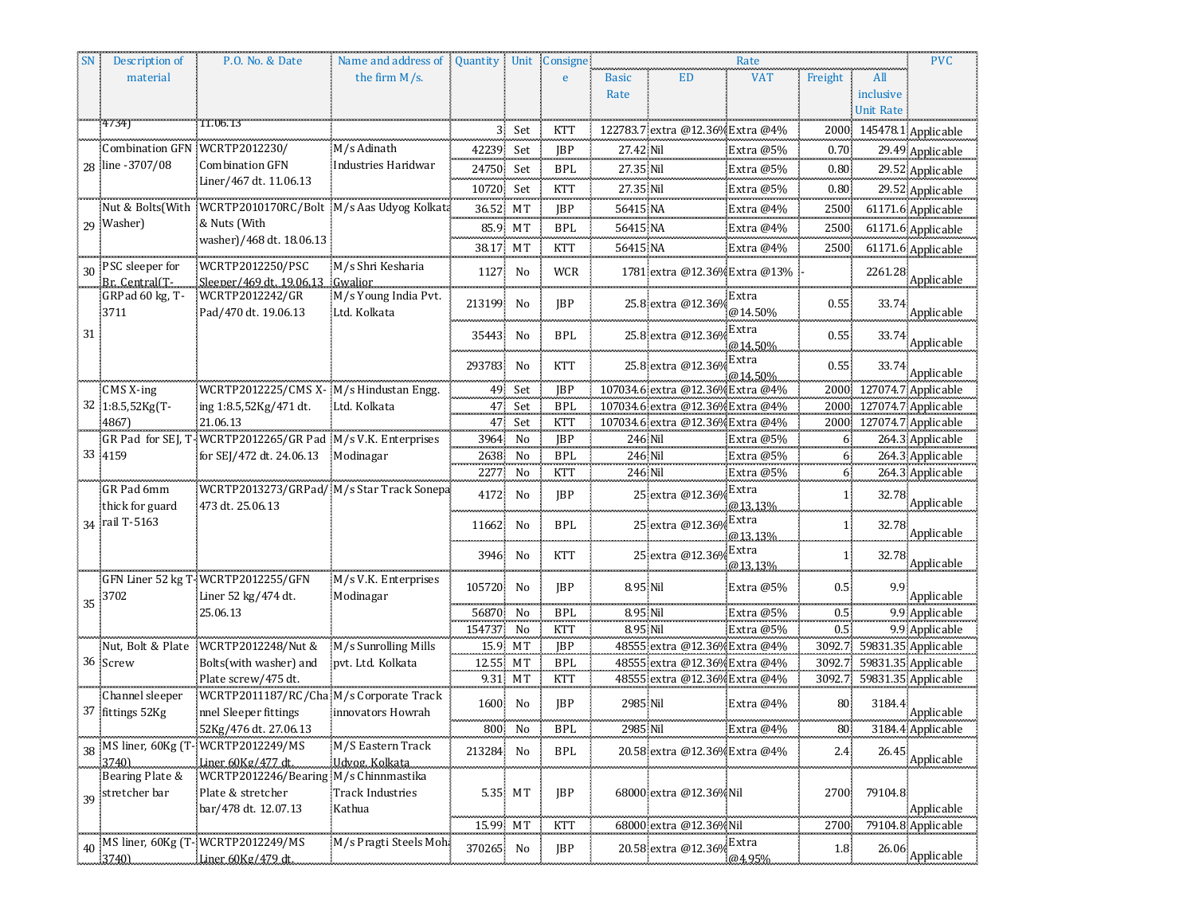|    | Description of                | P.O. No. & Date                                            | Name and address of Quantity Unit Consigne |           |         |            |              |                                  | Rate             |                  |                  | <b>PVC</b>                 |
|----|-------------------------------|------------------------------------------------------------|--------------------------------------------|-----------|---------|------------|--------------|----------------------------------|------------------|------------------|------------------|----------------------------|
|    | material                      |                                                            | the firm $M/s$ .                           |           |         | e          | <b>Basic</b> | ED                               | <b>VAT</b>       | Freight          | All              |                            |
|    |                               |                                                            |                                            |           |         |            | Rate         |                                  |                  |                  | inclusive        |                            |
|    |                               |                                                            |                                            |           |         |            |              |                                  |                  |                  | <b>Unit Rate</b> |                            |
|    | 4/34                          | 11.06.13                                                   |                                            |           | 3 Set   | <b>KTT</b> |              | 122783.7 extra @12.36% Extra @4% |                  |                  |                  | 2000 145478.1 Applicable   |
|    | Combination GFN WCRTP2012230/ |                                                            | M/s Adinath                                | 42239     | Set     | JBP        | 27.42 Nil    |                                  | Extra @5%        | $0.70 -$         |                  | 29.49 Applicable           |
|    | 28 line - 3707/08             | <b>Combination GFN</b>                                     | Industries Haridwar                        | 24750 Set |         | <b>BPL</b> | 27.35 Nil    |                                  | Extra @5%        | 0.80             |                  | 29.52 Applicable           |
|    |                               | Liner/467 dt. 11.06.13                                     |                                            | 10720 Set |         | KTT        | 27.35 Nil    |                                  | Extra @5%        | 0.80             |                  | 29.52 Applicable           |
|    | Nut & Bolts(With              | WCRTP2010170RC/Bolt M/s Aas Udyog Kolkata                  |                                            | 36.52 MT  |         | JBP        | 56415 NA     |                                  | Extra @4%        | 2500             |                  | 61171.6 Applicable         |
|    | 29 Washer)                    | & Nuts (With                                               |                                            |           | 85.9 MT | <b>BPL</b> | 56415 NA     |                                  | Extra @4%        |                  |                  | 2500 61171.6 Applicable    |
|    |                               | washer)/468 dt. 18.06.13                                   |                                            | 38.17 MT  |         | <b>KTT</b> | 56415 NA     |                                  | Extra @4%        | 2500             |                  | 61171.6 Applicable         |
|    | 30 PSC sleeper for            | WCRTP2012250/PSC                                           | M/s Shri Kesharia                          | 1127      | No      |            |              | 1781 extra @12.36% Extra @13%    |                  |                  | 2261.28          |                            |
|    | Br. Central(T-                | Sleeper/469 dt. 19,06.13.                                  |                                            |           |         | WCR        |              |                                  |                  |                  |                  | Applicable                 |
|    | GRPad 60 kg, T-               | WCRTP2012242/GR                                            | M/s Young India Pvt.                       | 213199    | No      | JBP        |              | 25.8 extra @12.36%               | Extra            | 0.55             | 33.74            |                            |
|    | 3711                          | Pad/470 dt. 19.06.13                                       | Ltd. Kolkata                               |           |         |            |              |                                  | @14.50%          |                  |                  | Applicable                 |
| 31 |                               |                                                            |                                            | 35443     | No      | <b>BPL</b> |              | 25.8 extra @12.369               | Extra            | 0.55             | 33.74            | Applicable                 |
|    |                               |                                                            |                                            |           |         |            |              |                                  | @14.50%<br>Extra |                  |                  |                            |
|    |                               |                                                            |                                            | 293783    | No      | <b>KTT</b> |              | 25.8 extra @12.369               | @14.50%          | 0.55             | 33.74            | Applicable                 |
|    | $CMS X-ing$                   | WCRTP2012225/CMS X-M/s Hindustan Engg.                     |                                            |           | 49 Set  | JBP        |              | 107034.6 extra @12.36% Extra @4% |                  | 2000             |                  | 127074.7 Applicable        |
|    | 32 1:8.5,52Kg(T-              | ing 1:8.5,52Kg/471 dt.                                     | Ltd. Kolkata                               |           | 47 Set  | <b>BPL</b> |              | 107034.6 extra @12.36% Extra @4% |                  |                  |                  | 2000 127074.7 Applicable   |
|    | 4867)                         | 21.06.13                                                   |                                            |           | 47 Set  | KTT        |              | 107034.6 extra @12.36% Extra @4% |                  |                  |                  | 2000 127074.7 Applicable   |
|    |                               | GR Pad for SEJ, T-WCRTP2012265/GR Pad M/s V.K. Enterprises |                                            |           | 3964 No | <b>JBP</b> | 246 Nil      |                                  | Extra @5%        | 6.               |                  | 264.3 Applicable           |
|    | 33 4159                       | for SEJ/472 dt. 24.06.13 Modinagar                         |                                            | 2638      | No      | <b>BPL</b> | 246 Nil      |                                  | Extra @5%        | 6.               |                  | 264.3 Applicable           |
|    |                               |                                                            |                                            | 2277      | No      | <b>KTT</b> | 246 Nil      |                                  | Extra @5%        | $\overline{6}$   |                  | 264.3 Applicable           |
|    | GR Pad 6mm                    | WCRTP2013273/GRPad/ M/s Star Track Sonepa                  |                                            | 4172      | No      | <b>JBP</b> |              | 25 extra @12.369                 | Extra            | $1^{\circ}$      |                  |                            |
|    | thick for guard               | 473 dt. 25.06.13                                           |                                            |           |         |            |              |                                  | @13.13%          |                  |                  | 32.78 Applicable           |
|    | 34 rail T-5163                |                                                            |                                            | 11662     | No      | <b>BPL</b> |              | 25 extra @12.36%                 | Extra            | 1.               | 32.78            | Applicable                 |
|    |                               |                                                            |                                            |           |         |            |              |                                  | @13.13%          |                  |                  |                            |
|    |                               |                                                            |                                            | 3946      | No      | KTT        |              | 25 extra @12.369                 | Extra<br>@13.13% | 1 <sup>1</sup>   | 32.78            | Applicable                 |
|    |                               | GFN Liner 52 kg T-WCRTP2012255/GFN                         | M/s V.K. Enterprises                       | 105720    | No      | JBP        | 8.95 Nil     |                                  | Extra @5%        | 0.5 <sub>1</sub> |                  |                            |
|    | 35 3702                       | Liner 52 kg/474 dt.                                        | Modinagar                                  |           |         | an an an   |              |                                  |                  |                  |                  | Applicable                 |
|    |                               | 25.06.13                                                   |                                            | 56870     | No      | <b>BPL</b> | 8.95 Nil     |                                  | Extra @5%        | $0.5 -$          |                  | 9.9 Applicable             |
|    |                               |                                                            |                                            | 154737    | No      | KTT        | 8.95 Nil     |                                  | Extra @5%        | 0.5 <sub>1</sub> |                  | 9.9 Applicable             |
|    | Nut, Bolt & Plate             | WCRTP2012248/Nut &                                         | M/s Sunrolling Mills                       |           | 15.9 MT | JBP        |              | 48555 extra @12.36% Extra @4%    |                  |                  |                  | 3092.7 59831.35 Applicable |
|    | 36 Screw                      | Bolts(with washer) and                                     | pvt. Ltd. Kolkata                          | 12.55 MT  |         | <b>BPL</b> |              | 48555 extra @12.36% Extra @4%    |                  |                  |                  | 3092.7 59831.35 Applicable |
|    |                               | Plate screw/475 dt.                                        |                                            |           | 9.31 MT | <b>KTT</b> |              | 48555 extra @12.36% Extra @4%    |                  |                  |                  | 3092.7 59831.35 Applicable |
|    | Channel sleeper               | WCRTP2011187/RC/Cha M/s Corporate Track                    |                                            | 1600 No   |         | JBP        | 2985 Nil     |                                  | Extra @4%        | 80               | 3184.4           |                            |
|    | 37 fittings 52Kg              | nnel Sleeper fittings                                      | innovators Howrah                          |           |         |            |              |                                  |                  |                  |                  | Applicable                 |
|    |                               | 52Kg/476 dt. 27.06.13                                      |                                            |           | 800 No  | <b>BPL</b> |              | 2985 Nil Extra @4%               |                  |                  |                  | 80 3184.4 Applicable       |
|    | 37401                         | 38 MS liner, 60Kg (T-WCRTP2012249/MS<br>Liner 60Kg/477 dt. | M/S Eastern Track<br>Ildvog, Kolkata       | 213284 No |         | BPL        |              | 20.58 extra @12.36% Extra @4%    |                  | 2.4              |                  | $26.45^\circ$ Applicable   |
|    | Bearing Plate &               | WCRTP2012246/Bearing M/s Chinnmastika                      |                                            |           |         |            |              |                                  |                  |                  |                  |                            |
|    | 39 stretcher bar              | Plate & stretcher                                          | <b>Track Industries</b>                    |           | 5.35 MT | <b>JBP</b> |              | 68000 extra @12.36% Nil          |                  | 2700             | 79104.8          |                            |
|    |                               | bar/478 dt. 12.07.13                                       | Kathua                                     |           |         |            |              |                                  |                  |                  |                  | Applicable                 |
|    |                               |                                                            |                                            | 15.99 MT  |         | <b>KTT</b> |              | 68000 extra @12.36% Nil          |                  | 2700             |                  | 79104.8 Applicable         |
|    |                               | 40 MS liner, 60Kg (T-WCRTP2012249/MS                       | M/s Pragti Steels Moha                     | 370265 No |         | JBP        |              | 20.58 extra @12.36%              | Extra            | 1.8              |                  |                            |
|    | 3740)                         | Liner 60Kg/479 dt.                                         |                                            |           |         |            |              |                                  | @4,95%           |                  |                  | $26.06^\circ$ Applicable   |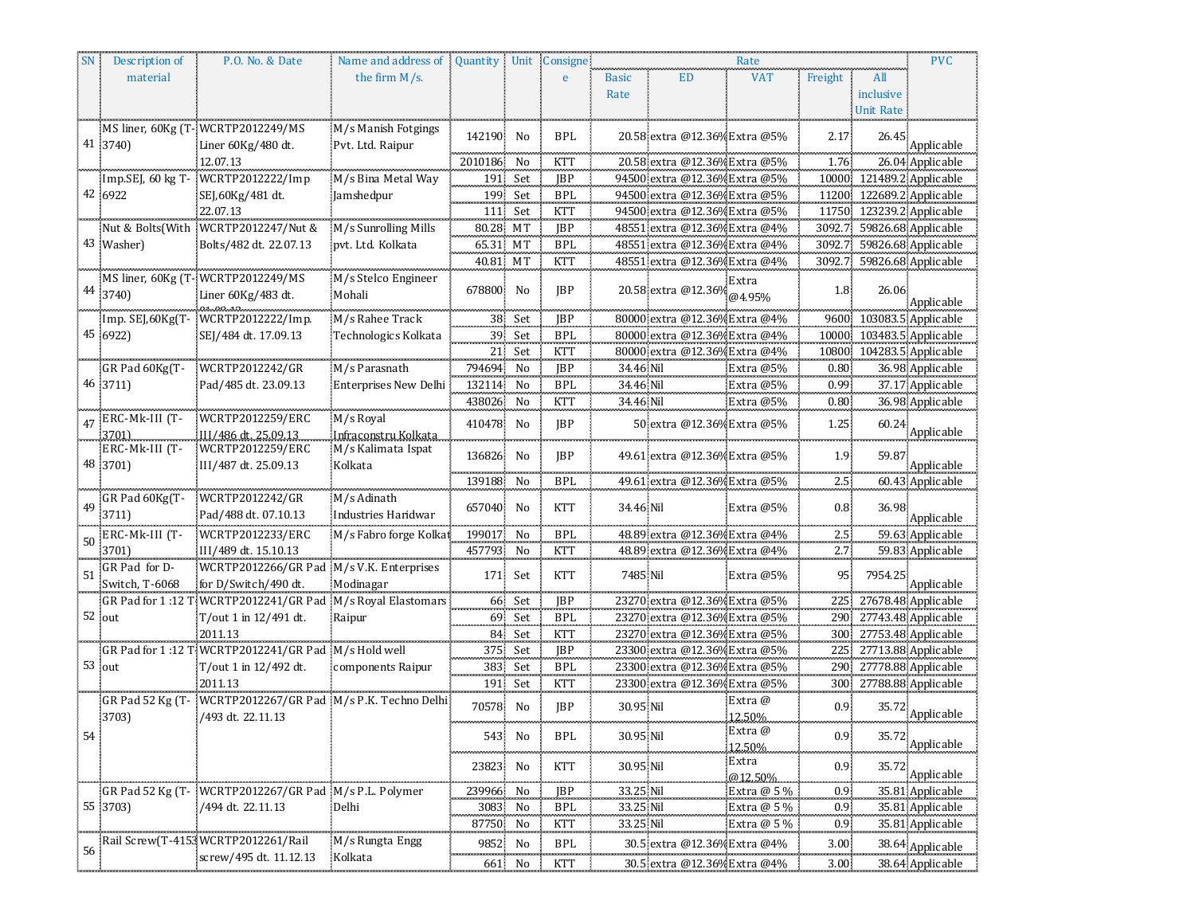|    | Description of          | P.O. No. & Date                                             | Name and address of    | Quantity Unit |         | Consigne   |              |                               | Rate                      |                   |           | <b>PVC</b>                                             |
|----|-------------------------|-------------------------------------------------------------|------------------------|---------------|---------|------------|--------------|-------------------------------|---------------------------|-------------------|-----------|--------------------------------------------------------|
|    | material                |                                                             | the firm $M/s$ .       |               |         | e          | <b>Basic</b> | <b>ED</b>                     | <b>VAT</b>                | Freight           | All       |                                                        |
|    |                         |                                                             |                        |               |         |            | Rate         |                               |                           |                   | inclusive |                                                        |
|    |                         |                                                             |                        |               |         |            |              |                               |                           |                   | Unit Rate |                                                        |
|    |                         | MS liner, 60Kg (T-WCRTP2012249/MS                           | M/s Manish Fotgings    |               |         |            |              |                               |                           |                   |           |                                                        |
|    | 41 3740)                | Liner 60Kg/480 dt.                                          | Pvt. Ltd. Raipur       | 142190 No     |         | <b>BPL</b> |              | 20.58 extra @12.36% Extra @5% |                           | 2.17              | 26.45     | Applicable                                             |
|    |                         | 12.07.13                                                    |                        | 2010186 No    |         | KTT        |              | 20.58 extra @12.36% Extra @5% |                           | 1.76              |           | 26.04 Applicable                                       |
|    |                         | Imp.SEJ, 60 kg T- WCRTP2012222/Imp                          | M/s Bina Metal Way     | 191           | Set     |            |              |                               |                           |                   |           |                                                        |
|    | 42 6922                 |                                                             |                        |               |         | JBP        |              | 94500 extra @12.36% Extra @5% |                           |                   |           | 10000 121489.2 Applicable<br>11200 122689.2 Applicable |
|    |                         | SEJ,60Kg/481 dt.<br>22.07.13                                | Jamshedpur             | 199           | Set     | <b>BPL</b> |              | 94500 extra @12.36% Extra @5% |                           |                   |           |                                                        |
|    |                         |                                                             |                        | 111           | Set     | KTT        |              | 94500 extra @12.36% Extra @5% |                           |                   |           | 11750 123239.2 Applicable                              |
|    |                         | Nut & Bolts(With WCRTP2012247/Nut &                         | M/s Sunrolling Mills   | 80.28 MT      |         | <b>IBP</b> |              | 48551 extra @12.36% Extra @4% |                           |                   |           | 3092.7 59826.68 Applicable                             |
|    | 43 Washer)              | Bolts/482 dt. 22.07.13                                      | pvt. Ltd. Kolkata      | 65.31 MT      |         | <b>BPL</b> |              | 48551 extra @12.36% Extra @4% |                           |                   |           | 3092.7 59826.68 Applicable                             |
|    |                         |                                                             |                        | 40.81 MT      |         | KTT        |              | 48551 extra @12.36% Extra @4% |                           |                   |           | 3092.7 59826.68 Applicable                             |
|    |                         | MS liner, 60Kg (T-WCRTP2012249/MS                           | M/s Stelco Engineer    |               |         |            |              |                               | Extra                     |                   |           |                                                        |
|    | 44 3740)                | Liner 60Kg/483 dt.                                          | Mohali                 | 678800        | No      | JBP        |              | 20.58 extra @12.36%           | @4.95%                    | 1.8               | 26.06     | Applicable                                             |
|    |                         | Imp. SEJ,60Kg(T- WCRTP2012222/Imp.                          | M/s Rahee Track        |               | 38 Set  | <b>JBP</b> |              | 80000 extra @12.36% Extra @4% |                           |                   |           | 9600 103083.5 Applicable                               |
|    | 45 6922)                | SEJ/484 dt. 17.09.13                                        | Technologics Kolkata   |               | 39 Set  | BPL        |              | 80000 extra @12.36% Extra @4% |                           |                   |           | 10000 103483.5 Applicable                              |
|    |                         |                                                             |                        |               | 21 Set  | <b>KTT</b> |              |                               |                           |                   |           | 10800 104283.5 Applicable                              |
|    | GR Pad 60Kg(T-          | WCRTP2012242/GR                                             | M/s Parasnath          | 794694 No     |         | <b>JBP</b> | 34.46 Nil    | 80000 extra @12.36% Extra @4% |                           | 0.80              |           |                                                        |
|    | 46 3711)                | Pad/485 dt. 23.09.13                                        | Enterprises New Delhi  |               | No      | <b>BPL</b> | 34.46 Nil    |                               | Extra $@5\%$<br>Extra @5% | 0.99 <sub>1</sub> |           | 36.98 Applicable                                       |
|    |                         |                                                             |                        | 132114        |         |            | 34.46 Nil    |                               |                           |                   |           | 37.17 Applicable<br>36.98 Applicable                   |
|    |                         |                                                             |                        | 438026        | No      | <b>KTT</b> |              |                               | Extra @5%                 | 0.80              |           |                                                        |
|    | $47$ ERC-Mk-III (T-     | WCRTP2012259/ERC                                            | M/s Royal              | 410478        | No      | <b>JBP</b> |              | 50 extra @12.36% Extra @5%    |                           | 1.25              |           | 60.24 Applicable                                       |
|    | 3701)<br>ERC-Mk-III (T- | III/486 dt. 25.09.13                                        | Infraconstru Kolkata   |               |         |            |              |                               |                           |                   |           |                                                        |
|    | 48 3701)                | WCRTP2012259/ERC<br>III/487 dt. 25.09.13                    | M/s Kalimata Ispat     | 136826        | No      | JBP        |              | 49.61 extra @12.36% Extra @5% |                           | 1.9               | 59.87     | Applicable                                             |
|    |                         |                                                             | Kolkata                | 139188 No     |         | <b>BPL</b> |              | 49.61 extra @12.36% Extra @5% |                           |                   |           |                                                        |
|    |                         |                                                             |                        |               |         |            |              |                               |                           | 2.5               |           | 60.43 Applicable                                       |
| 49 | GR Pad 60Kg(T-          | WCRTP2012242/GR                                             | M/s Adinath            | 657040        | No      | <b>KTT</b> | 34.46 Nil    |                               | Extra @5%                 | $0.8\,$           | 36.98     |                                                        |
|    | 3711)                   | Pad/488 dt. 07.10.13                                        | Industries Haridwar    |               |         |            |              |                               |                           |                   |           | Applicable                                             |
|    | 50 ERC-Mk-III (T-       | WCRTP2012233/ERC                                            | M/s Fabro forge Kolkat | 199017        | No      | <b>BPL</b> |              | 48.89 extra @12.36% Extra @4% |                           | $2.5\,$           |           | 59.63 Applicable                                       |
|    | 3701                    | III/489 dt. 15.10.13                                        |                        | 457793 No     |         | KTT        |              | 48.89 extra @12.36% Extra @4% |                           | 2.7               |           | 59.83 Applicable                                       |
| 51 | GR Pad for D-           | WCRTP2012266/GR Pad M/s V.K. Enterprises                    |                        |               | 171 Set | <b>KTT</b> | 7485 Nil     |                               | Extra @5%                 | 95                | 7954.25   |                                                        |
|    | Switch, T-6068          | for D/Switch/490 dt.                                        | Modinagar              |               |         |            |              |                               |                           |                   |           | Applicable                                             |
|    |                         | GR Pad for 1:12 T WCRTP2012241/GR Pad M/s Royal Elastomars  |                        |               | 66 Set  | <b>JBP</b> |              | 23270 extra @12.36% Extra @5% |                           |                   |           | 225 27678.48 Applicable                                |
|    | 52 out                  | T/out 1 in 12/491 dt.                                       | Raipur                 |               | 69 Set  | <b>BPL</b> |              | 23270 extra @12.36% Extra @5% |                           |                   |           | 290 27743.48 Applicable                                |
|    |                         | 2011.13                                                     |                        |               | 84 Set  | <b>KTT</b> |              | 23270 extra @12.36% Extra @5% |                           |                   |           | 300 27753.48 Applicable                                |
|    |                         | GR Pad for 1:12 T: WCRTP2012241/GR Pad M/s Hold well        |                        |               | 375 Set | JBP        |              | 23300 extra @12.36% Extra @5% |                           |                   |           | 225 27713.88 Applicable                                |
|    | 53 out                  | T/out 1 in 12/492 dt.                                       | components Raipur      | 383           | Set     | <b>BPL</b> |              | 23300 extra @12.36% Extra @5% |                           |                   |           | 290 27778.88 Applicable                                |
|    |                         | 2011.13                                                     |                        |               | 191 Set | <b>KTT</b> |              | 23300 extra @12.36% Extra @5% |                           |                   |           | 300 27788.88 Applicable                                |
|    |                         | GR Pad 52 Kg (T- WCRTP2012267/GR Pad M/s P.K. Techno Delhi) |                        | 70578         | No      | JBP        | 30.95 Nil    |                               | Extra @                   | 0.9 <sub>1</sub>  |           |                                                        |
|    | 3703)                   | /493 dt. 22.11.13                                           |                        |               |         |            |              |                               | 12.50%                    |                   |           | 35.72 Applicable                                       |
| 54 |                         |                                                             |                        |               | 543 No  | BPL        | 30.95 Nil    |                               | ¦Extra @                  | 0.9 <sub>1</sub>  | 35.72     |                                                        |
|    |                         |                                                             |                        |               |         |            |              |                               | 12.50%                    |                   |           | Applicable                                             |
|    |                         |                                                             |                        | 23823 No      |         | <b>KTT</b> | 30.95 Nil    |                               | Extra                     | 0.9 <sub>1</sub>  |           |                                                        |
|    |                         |                                                             |                        |               |         |            |              |                               | @12.50%                   | .                 |           | $35.72^\circ$ Applicable                               |
|    |                         | GR Pad 52 Kg (T- WCRTP2012267/GR Pad M/s P.L. Polymer       |                        | 239966        | No      | <b>JBP</b> | 33.25 Nil    |                               | Extra @ 5 %               | 0.9 <sub>1</sub>  |           | 35.81 Applicable                                       |
|    | 55 3703)                | /494 dt. 22.11.13                                           | Delhi                  | 3083          | No      | <b>BPL</b> | 33.25 Nil    |                               | Extra @ 5 %               | 0.9 <sub>1</sub>  |           | 35.81 Applicable                                       |
|    |                         |                                                             |                        | 87750 No      |         | <b>KTT</b> | 33.25 Nil    |                               | Extra @ 5 %               | 0.9               |           | 35.81 Applicable                                       |
| 56 |                         | Rail Screw(T-4153WCRTP2012261/Rail                          | M/s Rungta Engg        | 9852          | No      | <b>BPL</b> |              | 30.5 extra @12.36% Extra @4%  |                           | 3.00              |           | 38.64 Applicable                                       |
|    |                         | screw/495 dt. 11.12.13                                      | Kolkata                | 661           | No      | KTT        |              | 30.5 extra @12.36% Extra @4%  |                           | 3.00              |           | 38.64 Applicable                                       |
|    |                         |                                                             |                        |               |         |            |              |                               |                           |                   |           |                                                        |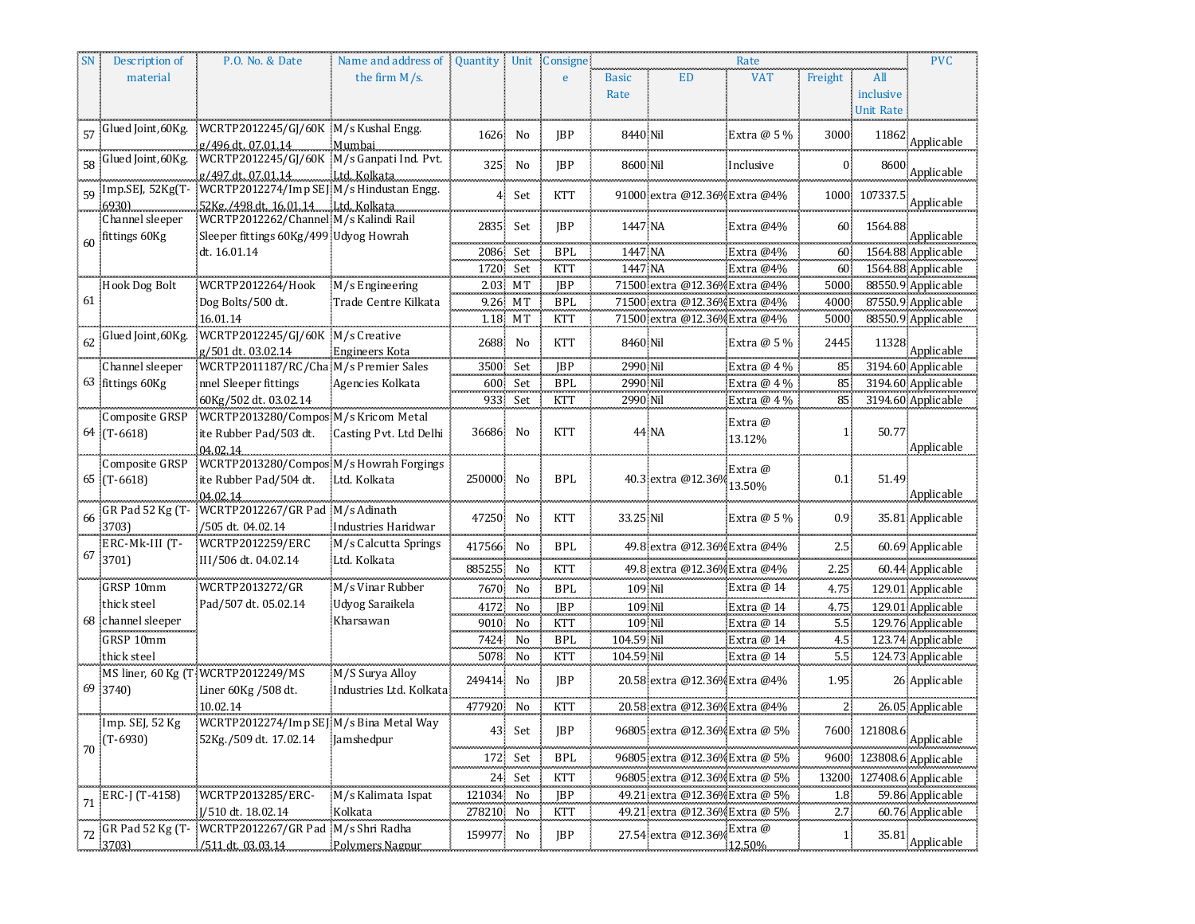|    | Description of                       | P.O. No. & Date                                                              | Name and address of                         |                |          | Quantity Unit Consigne |                          |                                | Rate              |                  |                  | <b>PVC</b>                   |
|----|--------------------------------------|------------------------------------------------------------------------------|---------------------------------------------|----------------|----------|------------------------|--------------------------|--------------------------------|-------------------|------------------|------------------|------------------------------|
|    | material                             |                                                                              | the firm $M/s$ .                            |                |          | e                      | <b>Basic</b>             | <b>ED</b>                      | <b>VAT</b>        | Freight          | All              |                              |
|    |                                      |                                                                              |                                             |                |          |                        | Rate                     |                                |                   |                  | inclusive        |                              |
|    |                                      |                                                                              |                                             |                |          |                        |                          |                                |                   |                  | <b>Unit Rate</b> |                              |
|    | 57 Glued Joint, 60Kg.                | WCRTP2012245/GJ/60K M/s Kushal Engg.<br>g/496 dt. 07.01.14                   | Mumbai                                      | 1626           | No       | <b>JBP</b>             | 8440 Nil                 |                                | Extra @ 5 %       | 3000             | 11862            | Applicable                   |
|    | 58 Glued Joint, 60Kg.                | WCRTP2012245/GJ/60K M/s Ganpati Ind. Pvt.<br>g/497 dt. 07.01.14 Ltd. Kolkata |                                             | 325            | No       | JBP                    | 8600 Nil                 |                                | Inclusive         | $0$ .            | 8600             | Applicable                   |
|    |                                      | 59 Imp.SEJ, 52Kg(T- WCRTP2012274/Imp SEJ M/s Hindustan Engg.                 |                                             | 4 <sup>1</sup> | Set      | <b>KTT</b>             |                          | 91000 extra @12.36% Extra @4%  |                   |                  | 1000 107337      |                              |
|    | .69301<br>Channel sleeper            | 52Kg./498 dt. 16.01.14 Ltd. Kolkata<br>WCRTP2012262/Channel M/s Kalindi Rail |                                             |                |          |                        |                          |                                |                   |                  |                  | Applicable                   |
|    | 60 fittings 60Kg                     | Sleeper fittings 60Kg/499 Udyog Howrah                                       |                                             |                | 2835 Set | JBP                    | 1447 NA                  |                                | Extra @4%         | 60.              | 1564.88          | Applicable                   |
|    |                                      | dt. 16.01.14                                                                 |                                             |                | 2086 Set | BPL                    | 1447 NA                  |                                | Extra $@4\%$      | 60.              |                  | 1564.88 Applicable           |
|    |                                      |                                                                              |                                             | 1720 Set       |          | KTT                    | 1447 NA                  |                                | Extra @4%         | 60.              |                  | 1564.88 Applicable           |
|    | Hook Dog Bolt                        | WCRTP2012264/Hook                                                            | M/s Engineering                             |                | 2.03 MT  | <b>IBP</b>             |                          | 71500 extra @12.36% Extra @4%  |                   | 5000             |                  | 88550.9 Applicable           |
| 61 |                                      | Dog Bolts/500 dt.                                                            | Trade Centre Kilkata                        |                | 9.26 MT  | <b>BPL</b>             |                          | 71500 extra @12.36% Extra @4%  |                   | 4000             |                  | 87550.9 Applicable           |
|    |                                      | 16.01.14                                                                     |                                             |                | 1.18 MT  | KTT                    |                          | 71500 extra @12.36% Extra @4%  |                   | 5000             |                  | 88550.9 Applicable           |
|    | 62 Glued Joint, 60Kg.                | WCRTP2012245/GJ/60K M/s Creative<br>g/501 dt. 03.02.14                       | Engineers Kota                              | 2688           | No       | <b>KTT</b>             | 8460 Nil                 |                                | Extra $@5\%$      | 2445             |                  | $11328^\circ$ Applicable     |
|    | Channel sleeper                      | WCRTP2011187/RC/Cha M/s Premier Sales                                        |                                             |                | 3500 Set | <b>JBP</b>             | 2990 Nil                 |                                | Extra @ 4 %       | 85               |                  | 3194.60 Applicable           |
|    | 63 fittings 60Kg                     | nnel Sleeper fittings                                                        | Agencies Kolkata                            |                | 600 Set  | <b>BPL</b>             | 2990 Nil                 |                                | Extra $@4\%$      | 85               |                  | 3194.60 Applicable           |
|    |                                      | 60Kg/502 dt. 03.02.14                                                        |                                             |                | 933 Set  | <b>KTT</b>             | 2990 Nil                 |                                | Extra $@4\%$      | 85               |                  | 3194.60 Applicable           |
|    | Composite GRSP<br>64 (T-6618)        | WCRTP2013280/Compos M/s Kricom Metal<br>ite Rubber Pad/503 dt.<br>04.02.14   | Casting Pvt. Ltd Delhi                      | 36686 No       |          | KTT                    |                          | 44 NA                          | Extra @<br>13.12% | 1 <sup>1</sup>   | 50.77            | Applicable                   |
|    | Composite GRSP                       | WCRTP2013280/Compos M/s Howrah Forgings                                      |                                             |                |          |                        |                          |                                |                   |                  |                  |                              |
|    | 65 (T-6618)                          | ite Rubber Pad/504 dt.                                                       | Ltd. Kolkata                                | 250000         | No       | <b>BPL</b>             |                          | 40.3 extra @12.369             | Extra @           | 0.1              | 51.49            |                              |
|    |                                      | 04.02.14                                                                     |                                             |                |          |                        |                          |                                | 13.50%            |                  |                  | Applicable                   |
| 66 | GR Pad 52 Kg (T-                     | WCRTP2012267/GR Pad M/s Adinath                                              |                                             | 47250          | No       | <b>KTT</b>             | 33.25 Nil                |                                | Extra @ 5 %       | 0.9 <sub>1</sub> |                  | 35.81 Applicable             |
|    | 37031<br>ERC-Mk-III (T-              | /505 dt. 04.02.14<br>WCRTP2012259/ERC                                        | Industries Haridwar<br>M/s Calcutta Springs | 417566         | No       | <b>BPL</b>             |                          | 49.8 extra @12.36% Extra @4%   |                   | $2.5^{\circ}$    |                  | 60.69 Applicable             |
|    | 67 3701)                             | III/506 dt. 04.02.14                                                         | Ltd. Kolkata                                | 885255.        | No       | KTT                    |                          | 49.8 extra @12.36% Extra @4%   |                   | 2.25.            |                  | 60.44 Applicable             |
|    | GRSP 10mm                            | WCRTP2013272/GR                                                              | M/s Vinar Rubber                            |                |          |                        |                          |                                | Extra @ 14        |                  |                  |                              |
|    | thick steel                          | Pad/507 dt. 05.02.14                                                         | Udyog Saraikela                             | 7670           | No.      | BPL                    | 109 Nil                  |                                |                   | 4.75             |                  | 129.01 Applicable            |
|    | 68 channel sleeper                   |                                                                              | Kharsawan                                   | 4172           | No       | <b>JBP</b>             | 109 Nil                  |                                | Extra @ 14        | 4.75             |                  | 129.01 Applicable            |
|    |                                      |                                                                              |                                             | 9010           | No       | KTT                    | 109 Nil                  |                                | Extra @ 14        | 5.5:             |                  | 129.76 Applicable            |
|    | GRSP 10mm<br>thick steel             |                                                                              |                                             | 7424           | No       | BPL                    | 104.59 Nil<br>104.59 Nil |                                | Extra @ 14        | 4.5              |                  | 123.74 Applicable            |
|    |                                      |                                                                              |                                             | 5078           | No       | <b>KTT</b>             |                          |                                | Extra @ 14        | 5.5 <sub>1</sub> |                  | 124.73 Applicable            |
|    | 69 3740)                             | MS liner, 60 Kg (T:WCRTP2012249/MS<br>Liner 60Kg / 508 dt.                   | M/S Surya Alloy<br>Industries Ltd. Kolkata. | 249414         | No       | JBP                    |                          | 20.58 extra @12.36% Extra @4%  |                   | 1.95             |                  | 26 Applicable                |
|    |                                      | 10.02.14                                                                     |                                             | 477920 No      |          | <b>KTT</b>             |                          | 20.58 extra @12.36% Extra @4%  |                   |                  |                  | 26.05 Applicable             |
|    | : Imp. SEJ, 52 Kg<br>$70^{(T-6930)}$ | WCRTP2012274/Imp SEI M/s Bina Metal Way<br>52Kg./509 dt. 17.02.14            | Jamshedpur                                  |                | 43 Set   | JRF                    |                          | 96805 extra @12.36% Extra @ 5% |                   |                  |                  | 7600 121808.6 Applicable     |
|    |                                      |                                                                              |                                             |                | 172 Set  | <b>BPL</b>             |                          | 96805 extra @12.36% Extra @ 5% |                   |                  |                  | 9600 123808.6 Applicable     |
|    |                                      |                                                                              |                                             |                | 24 Set   | KTT                    |                          | 96805 extra @12.36% Extra @ 5% |                   |                  |                  | 13200 127408.6 Applicable    |
|    | ERC-J (T-4158)                       | WCRTP2013285/ERC-                                                            | M/s Kalimata Ispat                          | 121034 No      |          | JBP                    |                          | 49.21 extra @12.36% Extra @ 5% |                   | 1.8              |                  | 59.86 Applicable             |
| 71 |                                      | J/510 dt. 18.02.14                                                           | Kolkata                                     | 278210 No      |          | KTT                    |                          | 49.21 extra @12.36% Extra @ 5% |                   | 2.7              |                  | 60.76 Applicable             |
|    |                                      | 72 GR Pad 52 Kg (T- WCRTP2012267/GR Pad M/s Shri Radha                       |                                             | 159977 No      |          |                        |                          | 27.54 extra @12.36% Extra @    |                   |                  |                  |                              |
|    | 3703                                 | /511 dt. 03.03.14                                                            | Polymers Nagpur                             |                |          | JBP                    |                          |                                | $12.50\%$         | 1,               |                  | $35.81\text{\AA}$ Applicable |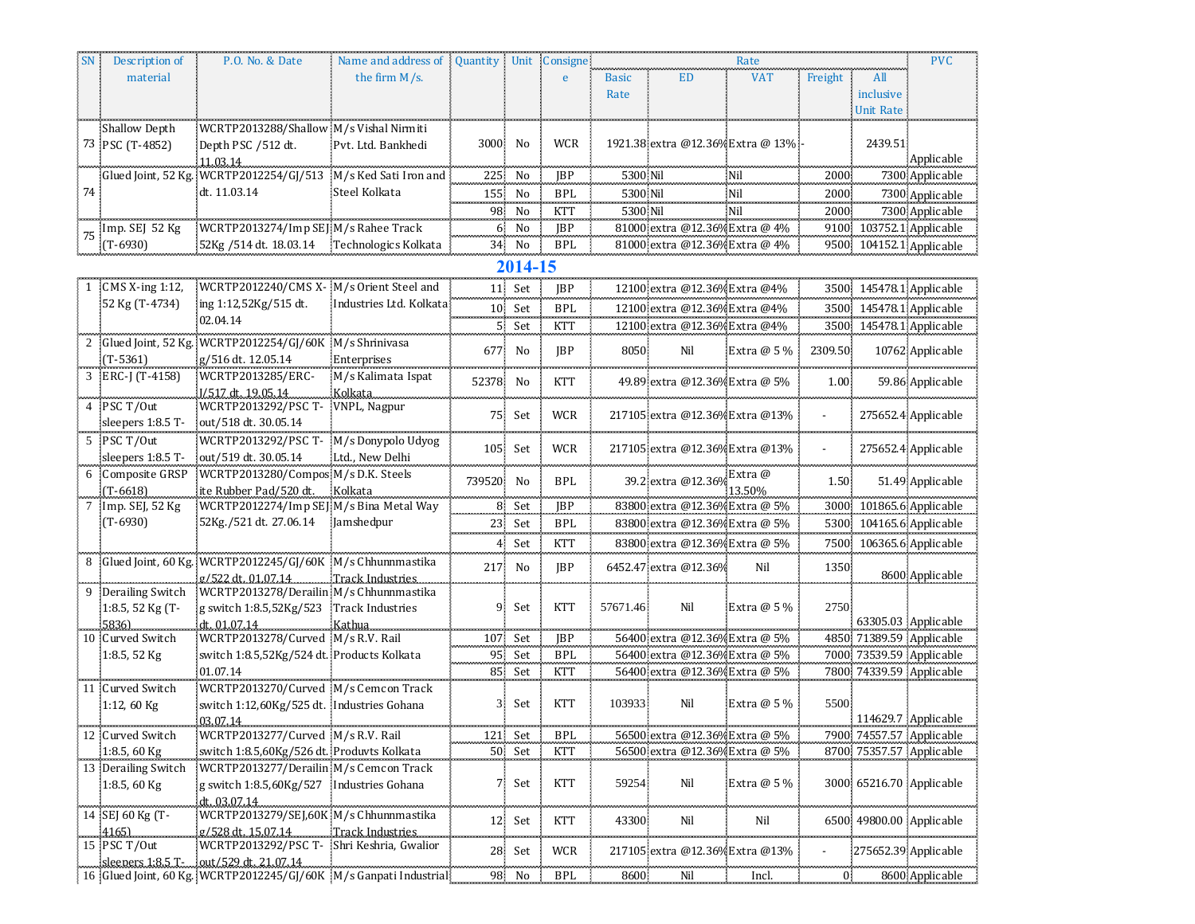|    | Description of        | P.O. No. & Date                                                    | Name and address of 3   | Quantity Unit |         | Consigne   | Rate         |                                   |              |         |           | <b>PVC</b>               |
|----|-----------------------|--------------------------------------------------------------------|-------------------------|---------------|---------|------------|--------------|-----------------------------------|--------------|---------|-----------|--------------------------|
|    | material              |                                                                    | the firm $M/s$ .        |               |         | e          | <b>Basic</b> | ED                                | <b>VAT</b>   | Freight | All       |                          |
|    |                       |                                                                    |                         |               |         |            | Rate         |                                   |              |         | inclusive |                          |
|    |                       |                                                                    |                         |               |         |            |              |                                   |              |         | Unit Rate |                          |
|    | <b>Shallow Depth</b>  | WCRTP2013288/Shallow M/s Vishal Nirmiti                            |                         |               |         |            |              |                                   |              |         |           |                          |
|    | 73 PSC (T-4852)       | Depth PSC /512 dt.                                                 | Pvt. Ltd. Bankhedi      | 3000 No       |         | WCR        |              | 1921.38 extra @12.36% Extra @ 13% |              |         | 2439.51   |                          |
|    |                       | 11.03.14                                                           |                         |               |         |            |              |                                   |              |         |           | Applicable               |
|    |                       | Glued Joint, 52 Kg. WCRTP2012254/GJ/513 M/s Ked Sati Iron and      |                         | 225           | No      | JBP        | 5300 Nil     |                                   | Nil          | 2000    |           | 7300 Applicable          |
| 74 |                       | dt. 11.03.14                                                       | Steel Kolkata           | 155.          | No      | <b>BPL</b> | 5300 Nil     |                                   | Nil          | 2000    |           | 7300 Applicable          |
|    |                       |                                                                    |                         | 98.           | No      | KTT        | 5300 Nil     |                                   | Nil          | 2000    |           | 7300 Applicable          |
|    | Imp. SEJ 52 Kg        | WCRTP2013274/Imp SEJ M/s Rahee Track                               |                         | 6.            | No      | <b>IBP</b> |              | 81000 extra @12.36% Extra @ 4%    |              |         |           | 9100 103752.1 Applicable |
|    | $(T-6930)$            | 52Kg / 514 dt. 18.03.14 Technologics Kolkata                       |                         |               |         | <b>BPL</b> |              |                                   |              |         |           | 9500 104152.1 Applicable |
|    |                       |                                                                    |                         |               | 34 No   |            |              | 81000 extra @12.36% Extra @ 4%    |              |         |           |                          |
|    |                       |                                                                    |                         |               | 2014-15 |            |              |                                   |              |         |           |                          |
|    | CMS $X$ -ing 1:12,    | WCRTP2012240/CMS X- M/s Orient Steel and                           |                         |               | 11 Set  | JBP        |              | 12100 extra @12.36% Extra @4%     |              |         |           | 3500 145478.1 Applicable |
|    | 52 Kg (T-4734)        | ing 1:12,52Kg/515 dt.                                              | Industries Ltd. Kolkata |               | 10 Set  | <b>BPL</b> |              | 12100 extra @12.36% Extra @4%     |              |         |           | 3500 145478.1 Applicable |
|    |                       | 02.04.14                                                           |                         |               |         | KTT        |              | 12100 extra @12.36% Extra @4%     |              |         |           | 3500 145478.1 Applicable |
|    |                       | Glued Joint, 52 Kg.; WCRTP2012254/GJ/60K M/s Shrinivasa            |                         |               | 5 Set   |            |              |                                   |              |         |           |                          |
|    | $(T-5361)$            |                                                                    |                         | 677.          | No      | <b>IBP</b> | 8050         | Nil                               | Extra @ 5 %  | 2309.50 |           | 10762 Applicable         |
|    |                       | g/516 dt. 12.05.14                                                 | Enterprises             |               |         |            |              |                                   |              |         |           |                          |
|    | ERC-J (T-4158)        | WCRTP2013285/ERC-                                                  | M/s Kalimata Ispat      | 52378 No      |         | KTT        |              | 49.89 extra @12.36% Extra @ 5%    |              | 1.00    |           | 59.86 Applicable         |
|    | PSC T/Out             | I/517 dt. 19.05.14<br>WCRTP2013292/PSC T-                          | Kolkata<br>VNPL, Nagpur |               |         |            |              |                                   |              |         |           |                          |
|    | sleepers 1:8.5 T-     | out/518 dt. 30.05.14                                               |                         |               | 75 Set  | <b>WCR</b> |              | 217105 extra @12.36% Extra @13%   |              |         |           | 275652.4 Applicable      |
|    |                       |                                                                    |                         |               |         |            |              |                                   |              |         |           |                          |
| 5  | PSC T/Out             | WCRTP2013292/PSC T-                                                | M/s Donypolo Udyog      |               | 105 Set | <b>WCR</b> |              | 217105 extra @12.36% Extra @13%   |              |         |           | 275652.4 Applicable      |
|    | sleepers 1:8.5 T-     | out/519 dt. 30.05.14                                               | Ltd., New Delhi         |               |         |            |              |                                   |              |         |           |                          |
|    | Composite GRSP        | WCRTP2013280/Compos M/s D.K. Steels                                |                         | 739520 No     |         | BPL        |              | 39.2 extra @12.36%                | Extra @      | 1.50    |           | 51.49 Applicable         |
|    | $(T - 6618)$          | ite Rubber Pad/520 dt.<br>WCRTP2012274/Imp SEJ M/s Bina Metal Way  | Kolkata                 |               |         |            |              | 83800 extra @12.36% Extra @ 5%    | 13.50%       |         |           |                          |
|    | Imp. SEJ, 52 Kg       |                                                                    |                         |               | 8 Set   | <b>IBP</b> |              |                                   |              |         |           | 3000 101865.6 Applicable |
|    | $(T-6930)$            | 52Kg./521 dt. 27.06.14                                             | Jamshedpur              |               | 23 Set  | <b>BPL</b> |              | 83800 extra @12.36% Extra @ 5%    |              |         |           | 5300 104165.6 Applicable |
|    |                       |                                                                    |                         |               | 4 Set   | <b>KTT</b> |              | 83800 extra @12.36% Extra @ 5%    |              |         |           | 7500 106365.6 Applicable |
|    |                       | Glued Joint, 60 Kg. WCRTP2012245/GJ/60K M/s Chhunnmastika          |                         |               | 217 No  | <b>IBP</b> |              | 6452.47 extra @12.36%             | Nil          | 1350    |           |                          |
|    |                       | g/522 dt. 01.07.14 Track Industries                                |                         |               |         |            |              |                                   |              |         |           | 8600 Applicable          |
|    | Derailing Switch      | WCRTP2013278/Derailin M/s Chhunnmastika                            |                         |               |         |            |              |                                   |              |         |           |                          |
|    | 1:8.5, 52 Kg (T-      | g switch 1:8.5,52Kg/523 Track Industries                           |                         |               | 9 Set   | <b>KTT</b> | 57671.46     | Nil                               | Extra $@5\%$ | 2750    |           |                          |
|    | 58361                 | dt. 01.07.14                                                       | Kathua                  |               |         |            |              |                                   |              |         |           | 63305.03 Applicable      |
|    | Curved Switch         | WCRTP2013278/Curved M/s R.V. Rail                                  |                         |               | 107 Set | JBP        |              | 56400 extra @12.36% Extra @ 5%    |              |         |           | 4850 71389.59 Applicable |
|    | 1:8.5, 52 Kg          | switch 1:8.5,52Kg/524 dt. Products Kolkata                         |                         | 95            | Set     | <b>BPL</b> |              | 56400 extra @12.36% Extra @ 5%    |              |         |           | 7000 73539.59 Applicable |
|    |                       | 01.07.14                                                           |                         |               | 85 Set  | <b>KTT</b> |              | 56400 extra @12.36% Extra @ 5%    |              |         |           | 7800 74339.59 Applicable |
|    | Curved Switch         | WCRTP2013270/Curved M/s Cemcon Track                               |                         |               |         |            |              |                                   |              |         |           |                          |
|    | 1:12, 60 Kg           | switch 1:12,60Kg/525 dt. Industries Gohana                         |                         |               | 3 Set   | KTT        | 103933       | Nil                               | Extra $@5\%$ | 5500    |           |                          |
|    |                       | 03.07.14                                                           |                         |               |         |            |              |                                   |              |         |           | 114629.7 Applicable      |
|    | 12 Curved Switch      | WCRTP2013277/Curved M/s R.V. Rail                                  |                         |               | 121 Set | <b>BPL</b> |              | 56500 extra @12.36% Extra @ 5%    |              |         |           | 7900 74557.57 Applicable |
|    | 1:8.5, 60 Kg          | switch 1:8.5,60Kg/526 dt. Produvts Kolkata                         |                         |               | 50 Set  | <b>KTT</b> |              | 56500 extra @12.36% Extra @ 5%    |              |         |           | 8700 75357.57 Applicable |
|    | 13 Derailing Switch   | WCRTP2013277/Derailin M/s Cemcon Track                             |                         |               |         |            |              |                                   |              |         |           |                          |
|    | 1:8.5, 60 $Kg$        | g switch 1:8.5,60Kg/527 Industries Gohana                          |                         |               | 7 Set   | <b>KTT</b> | 59254        | Nil                               | Extra $@5\%$ |         |           | 3000 65216.70 Applicable |
|    | 14 SEJ 60 Kg (T-      | dt. 03.07.14<br>WCRTP2013279/SEJ,60K M/s Chhunnmastika             |                         |               |         |            |              |                                   |              |         |           |                          |
|    |                       |                                                                    |                         |               | 12 Set  | <b>KTT</b> | 43300        | Nil                               | Nil          |         |           | 6500 49800.00 Applicable |
|    | 4165)<br>15 PSC T/Out | g/528 dt. 15.07.14<br>WCRTP2013292/PSC T- Shri Keshria, Gwalior    | . Track Industries      |               |         |            |              |                                   |              |         |           |                          |
|    |                       |                                                                    |                         |               | 28 Set  | <b>WCR</b> |              | 217105 extra @12.36% Extra @13%   |              |         |           | 275652.39 Applicable     |
|    |                       | 16 Glued Joint, 60 Kg.: WCRTP2012245/GJ/60K M/s Ganpati Industrial |                         |               | 98 No   | <b>BPL</b> | 8600         | Nil                               | Incl.        | 0.      |           | 8600 Applicable          |
|    |                       |                                                                    |                         |               |         |            |              |                                   |              |         |           |                          |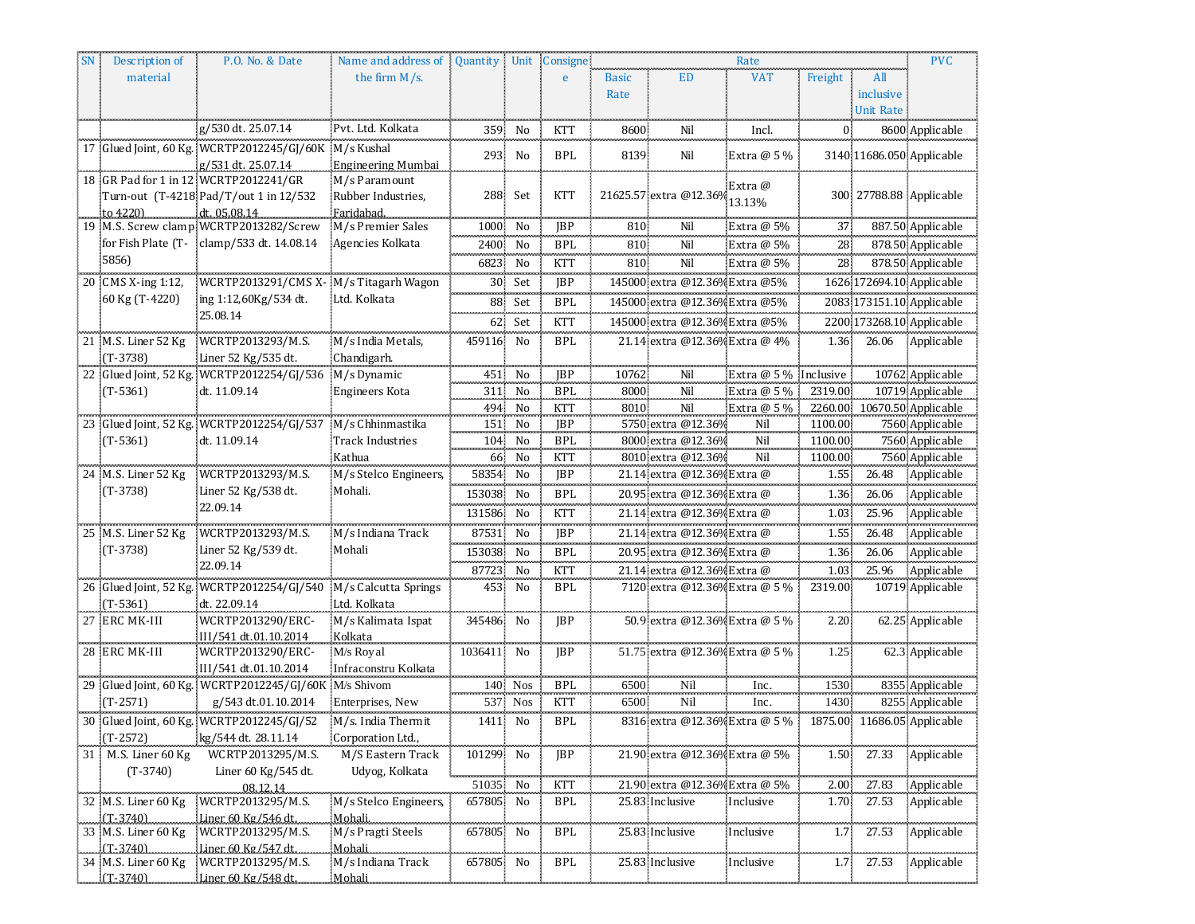| <b>SN</b> | Description of                    | P.O. No. & Date                                                              | Name and address of                    |                  |                       | Quantity Unit Consigne   |              |                                          | Rate         |                  |                  | <b>PVC</b>                         |
|-----------|-----------------------------------|------------------------------------------------------------------------------|----------------------------------------|------------------|-----------------------|--------------------------|--------------|------------------------------------------|--------------|------------------|------------------|------------------------------------|
|           | material                          |                                                                              | the firm M/s.                          |                  |                       | e                        | <b>Basic</b> | <b>ED</b>                                | <b>VAT</b>   | Freight          | All              |                                    |
|           |                                   |                                                                              |                                        |                  |                       |                          | Rate         |                                          |              |                  | inclusive        |                                    |
|           |                                   |                                                                              |                                        |                  |                       |                          |              |                                          |              |                  | <b>Unit Rate</b> |                                    |
|           |                                   | g/530 dt. 25.07.14                                                           | Pvt. Ltd. Kolkata                      | 359              | No                    | KTT                      | 8600         | Nil                                      | Incl.        | 0                |                  | 8600 Applicable                    |
|           |                                   | 17 Glued Joint, 60 Kg.: WCRTP2012245/GJ/60K M/s Kushal                       |                                        | 293              | No                    | <b>BPL</b>               | 8139         | Nil                                      | Extra $@5\%$ |                  |                  | 3140 11686.050 Applicable          |
|           |                                   | g/531 dt. 25.07.14                                                           | Engineering Mumbai                     |                  |                       |                          |              |                                          |              |                  |                  |                                    |
|           |                                   | 18 GR Pad for 1 in 12 WCRTP2012241/GR                                        | M/s Paramount                          |                  |                       |                          |              |                                          | Extra @      |                  |                  |                                    |
|           |                                   | Turn-out (T-4218 Pad/T/out 1 in 12/532                                       | Rubber Industries,                     |                  | 288 Set               | KTT                      |              | 21625.57 extra @12.36%                   | 13.13%       |                  |                  | 300 27788.88 Applicable            |
|           | to 42201                          | dt. 05.08.14<br>19 M.S. Screw clamp WCRTP2013282/Screw                       | Faridabad.<br>M/s Premier Sales        | 1000 No          |                       | JBP                      | 810          | Nil                                      | Extra @ 5%   | 37.              |                  | 887.50 Applicable                  |
|           |                                   | for Fish Plate (T- clamp/533 dt. 14.08.14                                    | Agencies Kolkata                       | 2400 No          |                       | <b>BPL</b>               | 810          | Nil                                      | Extra @ 5%   | 28               |                  | 878.50 Applicable                  |
|           | 5856)                             |                                                                              |                                        | 6823 No          |                       | <b>KTT</b>               | 810.         | Nil                                      | Extra @ 5%   | 28               |                  | 878.50 Applicable                  |
|           |                                   |                                                                              |                                        |                  |                       |                          |              |                                          |              |                  |                  |                                    |
|           | 20 CMS X-ing 1:12,                | WCRTP2013291/CMS X-M/s Titagarh Wagon                                        |                                        |                  | 30 Set                | <b>IBP</b>               |              | 145000 extra @12.36% Extra @5%           |              |                  |                  | 1626 172694.10 Applicable          |
|           | 60 Kg (T-4220)                    | ing 1:12,60Kg/534 dt.<br>25.08.14                                            | Ltd. Kolkata                           |                  | 88 Set                | <b>BPL</b>               |              | 145000 extra @12.36% Extra @5%           |              |                  |                  | 2083 173151.10 Applicable          |
|           |                                   |                                                                              |                                        |                  | 62 Set                | KTT                      |              | 145000 extra @12.36% Extra @5%           |              |                  |                  | 2200 173268.10 Applicable          |
|           | 21 M.S. Liner 52 Kg               | WCRTP2013293/M.S.                                                            | M/s India Metals,                      | 459116 No        |                       | <b>BPL</b>               |              | 21.14 extra @12.36% Extra @ 4%           |              | 1.36             | 26.06            | Applicable                         |
|           | $(T-3738)$                        | Liner 52 Kg/535 dt.                                                          | Chandigarh.                            |                  |                       |                          |              |                                          |              |                  |                  |                                    |
|           |                                   | 22 Glued Joint, 52 Kg. WCRTP2012254/GJ/536 M/s Dynamic                       |                                        | 451.             | No                    | <b>JBP</b>               | 10762        | Nil                                      | Extra @ 5 %  | Inclusive        |                  | 10762 Applicable                   |
|           | $(T-5361)$                        | dt. 11.09.14                                                                 | <b>Engineers Kota</b>                  |                  | 311 No                | <b>BPL</b>               | 8000         | Nil                                      | Extra @ 5 %  | 2319.00          |                  | 10719 Applicable                   |
|           |                                   |                                                                              |                                        |                  | 494 No                | KTT                      | 8010         | Nil                                      | Extra @ 5%   |                  |                  | 2260.00 10670.50 Applicable        |
|           |                                   | 23 Glued Joint, 52 Kg. WCRTP2012254/GJ/537 M/s Chhinmastika                  |                                        |                  | 151 No                | JBP                      |              | 5750 extra @12.36%                       | Nil          | 1100.00          |                  | 7560 Applicable                    |
|           | $(T-5361)$                        | dt. 11.09.14                                                                 | <b>Track Industries</b>                |                  | 104 No                | <b>BPL</b>               |              | 8000 extra @12.36%<br>8010 extra @12.36% | Nil          | 1100.00          |                  | 7560 Applicable                    |
|           | 24 M.S. Liner 52 Kg               | WCRTP2013293/M.S.                                                            | Kathua<br>M/s Stelco Engineers,        | 66.<br>58354     | No<br>No              | <b>KTT</b><br><b>JBP</b> |              | 21.14 extra @12.36% Extra @              | Nil          | 1100.00:<br>1.55 | 26.48            | 7560 Applicable<br>Applicable      |
|           | $(T-3738)$                        | Liner 52 Kg/538 dt.                                                          | Mohali.                                |                  |                       |                          |              |                                          |              |                  |                  |                                    |
|           |                                   | 22.09.14                                                                     |                                        | 153038<br>سيستعد | N <sub>0</sub>        | <b>BPL</b><br>سيستعد     |              | 20.95 extra @12.36% Extra @              |              | 1.36             | 26.06            | Applicable                         |
|           |                                   |                                                                              |                                        | 131586 No        |                       | KTT                      |              | 21.14 extra @12.36% Extra @              |              | 1.03             | 25.96            | Applicable                         |
|           | 25 M.S. Liner 52 Kg               | WCRTP2013293/M.S.                                                            | M/s Indiana Track                      | 87531 No         |                       | JBP                      |              | 21.14 extra @12.36% Extra @              |              | 1.55             | 26.48            | Applicable                         |
|           | $(T-3738)$                        | Liner 52 Kg/539 dt.                                                          | Mohali                                 | 153038 No        |                       | <b>BPL</b>               |              | 20.95 extra @12.36% Extra @              |              | 1.36             | 26.06            | Applicable                         |
|           |                                   | 22.09.14                                                                     |                                        | 87723 No         |                       | <b>KTT</b>               |              | 21.14 extra @12.36% Extra @              |              | 1.03             | 25.96            | Applicable                         |
|           |                                   | 26 Glued Joint, 52 Kg. WCRTP2012254/GJ/540                                   | M/s Calcutta Springs                   |                  | 453 No                | BPL                      |              | 7120 extra @12.36% Extra @ 5 %           |              | 2319.00          |                  | 10719 Applicable                   |
|           | $(T-5361)$                        | dt. 22.09.14                                                                 | Ltd. Kolkata                           |                  |                       |                          |              |                                          |              |                  |                  |                                    |
|           | 27 ERC MK-III                     | WCRTP2013290/ERC-                                                            | M/s Kalimata Ispat                     | 345486 No        |                       | <b>JBP</b>               |              | 50.9 extra @12.36% Extra @ 5 %           |              | 2.20             |                  | 62.25 Applicable                   |
|           |                                   | III/541 dt.01.10.2014                                                        | Kolkata                                |                  |                       |                          |              |                                          |              |                  |                  |                                    |
|           | 28 ERC MK-III                     | WCRTP2013290/ERC-                                                            | M/s Royal                              | 1036411 No       |                       | JBP                      |              | 51.75 extra @12.36% Extra @ 5 %          |              | 1.25             |                  | 62.3 Applicable                    |
|           |                                   | III/541 dt.01.10.2014                                                        | Infraconstru Kolkata                   |                  |                       |                          |              |                                          |              |                  |                  |                                    |
|           | $(T-2571)$                        | 29 Glued Joint, 60 Kg. WCRTP2012245/GJ/60K M/s Shivom<br>g/543 dt.01.10.2014 | Enterprises, New                       | 537.             | 140 Nos<br><b>Nos</b> | <b>BPL</b><br>KTT        | 6500<br>6500 | Nil<br>Nil                               | Inc.<br>Inc. | 1530<br>1430     |                  | 8355 Applicable<br>8255 Applicable |
|           |                                   |                                                                              |                                        |                  |                       | مستسعين                  |              |                                          |              |                  |                  |                                    |
|           |                                   | 30 Glued Joint, 60 Kg. WCRTP2012245/GJ/52<br>kg/544 dt. 28.11.14             | M/s. India Thermit                     | 1411 No          |                       | <b>BPL</b>               |              | 8316 extra @12.36% Extra @ 5 %           |              |                  |                  | 1875.00 11686.05 Applicable        |
|           | $(T-2572)$<br>M.S. Liner 60 Kg    |                                                                              | Corporation Ltd.,<br>M/S Eastern Track | 101299           | No                    | <b>JBP</b>               |              | 21.90 extra @12.36% Extra @ 5%           |              | 1.50             | 27.33            | Applicable                         |
| 31        | $(T-3740)$                        | WCRTP2013295/M.S.<br>Liner 60 Kg/545 dt.                                     | Udyog, Kolkata                         |                  |                       |                          |              |                                          |              |                  |                  |                                    |
|           |                                   | 08.12.14                                                                     |                                        | munni<br>51035   | No                    | <b>KTT</b>               |              | 21.90 extra @12.36% Extra @ 5%           |              | 2.00             | 27.83            | Applicable                         |
|           | 32 M.S. Liner 60 Kg               | WCRTP2013295/M.S.                                                            | M/s Stelco Engineers,                  | 657805           | No                    | <b>BPL</b>               |              | 25.83 Inclusive                          | Inclusive    | $1.70 -$         | 27.53            | Applicable                         |
|           | $(T-3740)$                        | Liner 60 Kg/546 dt.                                                          | Mohali.                                |                  |                       |                          |              |                                          |              |                  |                  |                                    |
|           | 33 M.S. Liner 60 Kg               | WCRTP2013295/M.S.                                                            | M/s Pragti Steels                      | 657805 No        |                       | <b>BPL</b>               |              | 25.83 Inclusive                          | Inclusive    | 1.7 <sub>1</sub> | 27.53            | Applicable                         |
|           | $(T-3740)$                        | Liner 60 Kg/547 dt                                                           | Mohali                                 |                  |                       |                          |              |                                          |              |                  |                  |                                    |
|           | 34 M.S. Liner 60 Kg<br>$(T-3740)$ | WCRTP2013295/M.S.<br>Liner 60 Kg/548 dt.                                     | M/s Indiana Track<br>Mohali            | 657805 No        |                       | <b>BPL</b>               |              | 25.83 Inclusive                          | Inclusive    | 1.7              | 27.53            | Applicable                         |
|           |                                   |                                                                              |                                        |                  |                       |                          |              |                                          |              |                  |                  |                                    |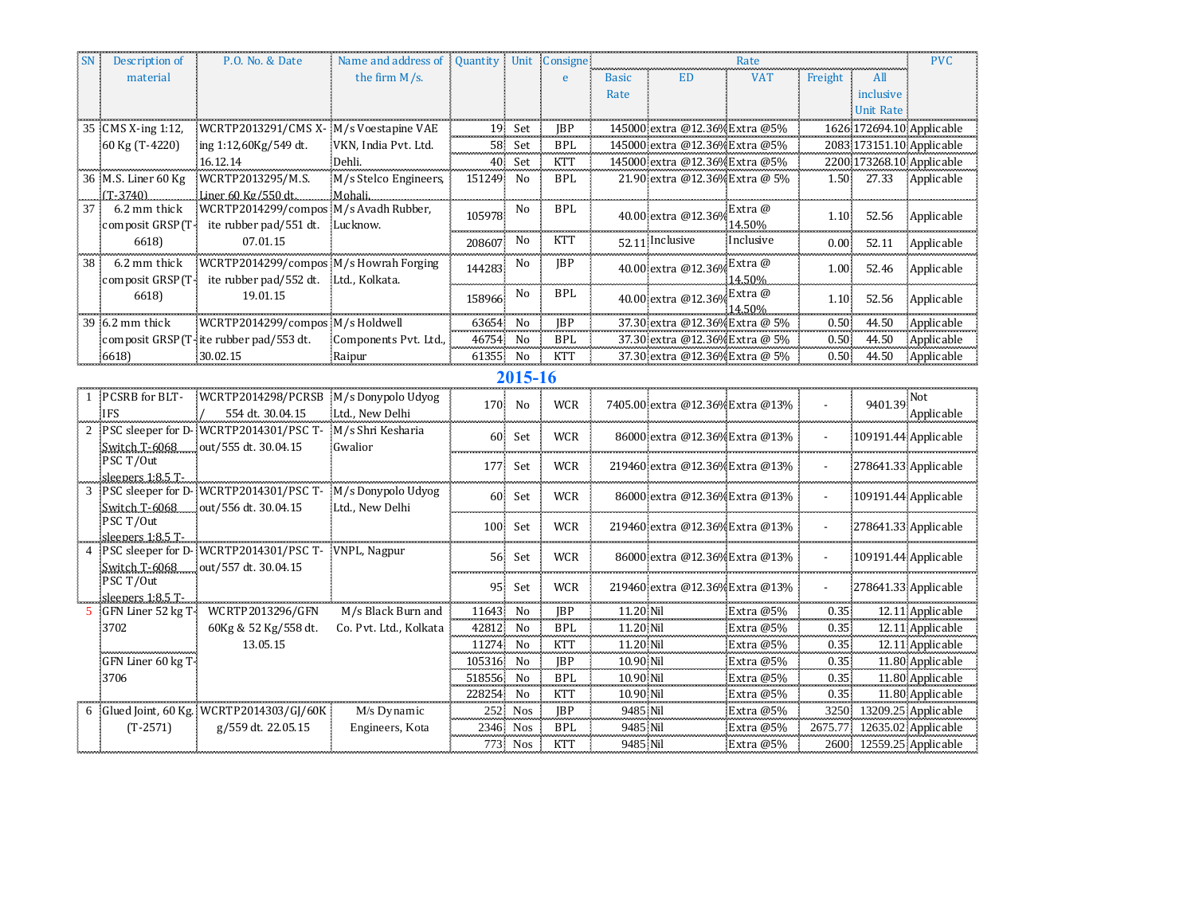|    | Description of                          | P.O. No. & Date                                           | Name and address of    | Quantity Unit Consigne |          |            |                      |                                  | Rate                   |                   |                  | <b>PVC</b>                           |
|----|-----------------------------------------|-----------------------------------------------------------|------------------------|------------------------|----------|------------|----------------------|----------------------------------|------------------------|-------------------|------------------|--------------------------------------|
|    | material                                |                                                           | the firm M/s.          |                        |          | e          | <b>Basic</b>         | <b>ED</b>                        | <b>VAT</b>             | Freight           | All              |                                      |
|    |                                         |                                                           |                        |                        |          |            | Rate                 |                                  |                        |                   | inclusive        |                                      |
|    |                                         |                                                           |                        |                        |          |            |                      |                                  |                        |                   | <b>Unit Rate</b> |                                      |
| 35 | CMS X-ing 1:12,                         | WCRTP2013291/CMS X- M/s Voestapine VAE                    |                        |                        | 19 Set   | <b>IBP</b> |                      | 145000 extra @12.36% Extra @5%   |                        |                   |                  | 1626 172694.10 Applicable            |
|    | 60 Kg (T-4220)                          | ing 1:12,60Kg/549 dt.                                     | VKN, India Pvt. Ltd.   |                        | 58 Set   | <b>BPL</b> |                      | 145000 extra @12.36% Extra @5%   |                        |                   |                  | 2083 173151.10 Applicable            |
|    |                                         | 16.12.14                                                  | Dehli.                 |                        | 40 Set   | <b>KTT</b> |                      | 145000 extra @12.36% Extra @5%   |                        |                   |                  | 2200 173268.10 Applicable            |
|    | 36 M.S. Liner 60 Kg                     | WCRTP2013295/M.S.                                         | M/s Stelco Engineers,  | 151249                 | No       | <b>BPL</b> |                      | 21.90 extra @12.36% Extra @ 5%   |                        | 1.50              | 27.33            | Applicable                           |
|    | $(T-3740)$                              | Liner 60 Kg/550 dt.                                       | Mohali.                |                        |          |            |                      |                                  |                        |                   |                  |                                      |
| 37 | 6.2 mm thick                            | WCRTP2014299/compos M/s Avadh Rubber,                     |                        | 105978                 | No       | <b>BPL</b> |                      | 40.00 extra @12.36%              | Extra @                | 1.10              | 52.56            |                                      |
|    | composit GRSP(T-                        | ite rubber pad/551 dt. Lucknow.                           |                        |                        |          |            |                      |                                  | 14.50%                 |                   |                  | Applicable                           |
|    | 6618)                                   | 07.01.15                                                  |                        | 208607                 | No       | <b>KTT</b> |                      | 52.11 Inclusive                  | Inclusive              | $0.00 -$          | 52.11            | Applicable                           |
| 38 | 6.2 mm thick                            | WCRTP2014299/compos M/s Howrah Forging                    |                        | 144283                 | No       | JBP        |                      | 40.00 extra @12.369              | Extra @                | 1.00 <sub>1</sub> | 52.46            | Applicable                           |
|    | composit GRSP(T-                        | ite rubber pad/552 dt. Ltd., Kolkata.                     |                        |                        |          |            |                      |                                  | 14.50%                 |                   |                  |                                      |
|    | 6618)                                   | 19.01.15                                                  |                        | 158966                 | No       | <b>BPL</b> |                      | 40.00 extra @12.369              | Extra @                | 1.10              | 52.56            | Applicable                           |
|    |                                         |                                                           |                        |                        |          |            |                      |                                  | 14.50%                 |                   |                  |                                      |
|    | 39 6.2 mm thick                         | WCRTP2014299/compos M/s Holdwell                          |                        | 63654                  | No       | JBP        |                      | 37.30 extra @12.36% Extra @ 5%   |                        | $0.50 -$          | 44.50            | Applicable                           |
|    |                                         | composit GRSP(T-ite rubber pad/553 dt.                    | Components Pvt. Ltd.,  | 46754                  | No       | <b>BPL</b> |                      | 37.30 extra @12.36% Extra @ 5%   |                        | 0.50              | 44.50            | Applicable                           |
|    | 6618                                    | 30.02.15                                                  | Raipur                 | 61355                  | No       | <b>KTT</b> |                      | 37.30 extra @12.36% Extra @ 5%   |                        | 0.50 <sub>1</sub> | 44.50            | Applicable                           |
|    |                                         |                                                           |                        |                        | 2015-16  |            |                      |                                  |                        |                   |                  |                                      |
|    | PCSRB for BLT-                          | WCRTP2014298/PCRSB M/s Donypolo Udyog                     |                        | 170                    | No       | <b>WCR</b> |                      | 7405.00 extra @12.36% Extra @13% |                        |                   | 9401.39          | Not                                  |
|    | <b>IFS</b>                              | 554 dt. 30.04.15                                          | Ltd., New Delhi        |                        |          |            |                      |                                  |                        |                   |                  | Applicable                           |
|    |                                         | PSC sleeper for D-WCRTP2014301/PSC T-                     | M/s Shri Kesharia      | 60                     | Set      | WCR        |                      | 86000 extra @12.36% Extra @13%   |                        |                   |                  | 109191.44 Applicable                 |
|    |                                         | Switch T-6068  out/555 dt. 30.04.15                       | Gwalior                |                        |          |            |                      |                                  |                        |                   |                  |                                      |
|    | PSC T/Out                               |                                                           |                        | 177                    | Set      | <b>WCR</b> |                      | 219460 extra @12.36% Extra @13%  |                        |                   |                  | 278641.33 Applicable                 |
|    | sleepers 1:8.5 T-                       |                                                           |                        |                        |          |            |                      |                                  |                        |                   |                  |                                      |
| 3  |                                         | PSC sleeper for D- WCRTP2014301/PSC T- M/s Donypolo Udyog |                        | 60                     | Set      | <b>WCR</b> |                      | 86000 extra @12.36% Extra @13%   |                        |                   |                  | 109191.44 Applicable                 |
|    | PSC T/Out                               | Switch T-6068 out/556 dt. 30.04.15                        | Ltd., New Delhi        |                        |          |            |                      |                                  |                        |                   |                  |                                      |
|    | sleepers $1:8.5$ T-                     |                                                           |                        |                        | 100 Set  | <b>WCR</b> |                      | 219460 extra @12.36% Extra @13%  |                        |                   |                  | 278641.33 Applicable                 |
|    |                                         | PSC sleeper for D- WCRTP2014301/PSC T- VNPL, Nagpur       |                        |                        | 56 Set   | WCR        |                      | 86000 extra @12.36% Extra @13%   |                        |                   |                  | 109191.44 Applicable                 |
|    |                                         | Switch T-6068out/557 dt. 30.04.15                         |                        |                        |          |            |                      |                                  |                        |                   |                  |                                      |
|    | PSC T/Out                               |                                                           |                        | 95.                    | Set      | WCR        |                      | 219460 extra @12.36% Extra @13%  |                        |                   |                  | 278641.33 Applicable                 |
|    | sleepers 1:8.5 T-<br>GFN Liner 52 kg T- | WCRTP2013296/GFN                                          | M/s Black Burn and     | 11643                  | No       | <b>JBP</b> | 11.20 Nil            |                                  | Extra @5%              | 0.35.             |                  | 12.11 Applicable                     |
|    | 3702                                    | 60Kg & 52 Kg/558 dt.                                      | Co. Pvt. Ltd., Kolkata | 42812                  | No       | <b>BPL</b> | 11.20 Nil            |                                  | Extra @5%              | 0.35              |                  | 12.11 Applicable                     |
|    |                                         |                                                           |                        |                        |          |            | 11.20 Nil            |                                  |                        |                   |                  | 12.11 Applicable                     |
|    | GFN Liner 60 kg T-                      | 13.05.15                                                  |                        | 11274 No               |          | <b>KTT</b> | 10.90 Nil            |                                  | Extra @5%              | 0.35              |                  |                                      |
|    | 3706                                    |                                                           |                        | 105316                 | No<br>No | JBP<br>BPL | 10.90 Nil            |                                  | Extra @5%              | 0.35<br>0.35      |                  | 11.80 Applicable                     |
|    |                                         |                                                           |                        | 518556.<br>228254      | No       | <b>KTT</b> | 10.90 Nil            |                                  | Extra @5%<br>Extra @5% | 0.35              |                  | 11.80 Applicable<br>11.80 Applicable |
| 6  |                                         | Glued Joint, 60 Kg. WCRTP2014303/GJ/60K                   | M/s Dynamic            |                        | 252 Nos  | <b>IBP</b> | 9485 Nil             |                                  | Extra @5%              |                   |                  | 3250 13209.25 Applicable             |
|    | $(T-2571)$                              | g/559 dt. 22.05.15                                        | Engineers, Kota        |                        | 2346 Nos | <b>BPL</b> |                      |                                  | Extra @5%              |                   |                  | 2675.77 12635.02 Applicable          |
|    |                                         |                                                           |                        |                        | 773 Nos  | <b>KTT</b> | 9485 Nil<br>9485 Nil |                                  | Extra $@5\%$           |                   |                  | 2600 12559.25 Applicable             |
|    |                                         |                                                           |                        |                        |          |            |                      |                                  |                        |                   |                  |                                      |